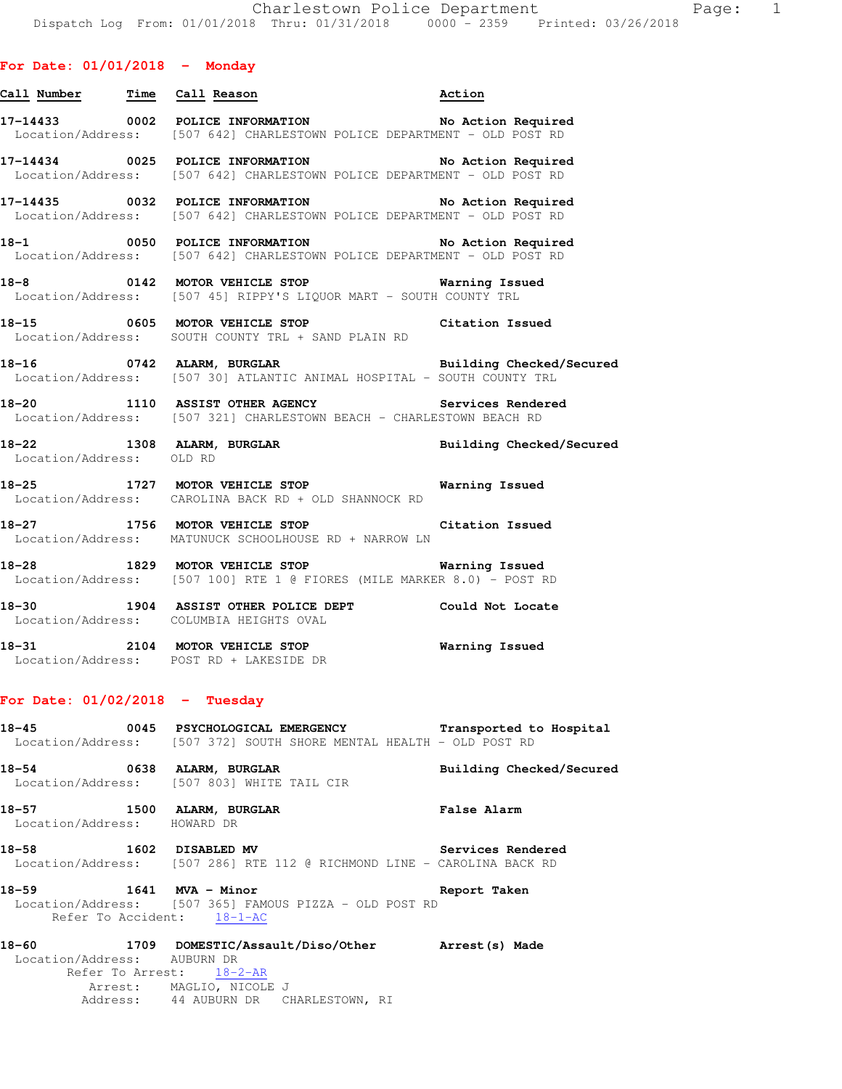# **For Date: 01/01/2018 - Monday**

| Call Number Time Call Reason         |                                                                                                                                    | Action                   |
|--------------------------------------|------------------------------------------------------------------------------------------------------------------------------------|--------------------------|
|                                      | 17-14433 0002 POLICE INFORMATION No Action Required<br>Location/Address: [507 642] CHARLESTOWN POLICE DEPARTMENT - OLD POST RD     |                          |
|                                      | 17-14434 0025 POLICE INFORMATION No Action Required<br>Location/Address: [507 642] CHARLESTOWN POLICE DEPARTMENT - OLD POST RD     |                          |
|                                      | 17-14435 0032 POLICE INFORMATION No Action Required<br>Location/Address: [507 642] CHARLESTOWN POLICE DEPARTMENT - OLD POST RD     |                          |
|                                      | 18-1 0050 POLICE INFORMATION No Action Required<br>Location/Address: [507 642] CHARLESTOWN POLICE DEPARTMENT - OLD POST RD         |                          |
|                                      | Location/Address: [507 45] RIPPY'S LIQUOR MART - SOUTH COUNTY TRL                                                                  |                          |
|                                      | 18-15 0605 MOTOR VEHICLE STOP Citation Issued<br>Location/Address: SOUTH COUNTY TRL + SAND PLAIN RD                                |                          |
|                                      | 18-16 		 0742 ALARM, BURGLAR 		 Building Checked/Secured<br>Location/Address: [507 30] ATLANTIC ANIMAL HOSPITAL - SOUTH COUNTY TRL |                          |
|                                      | 18-20 1110 ASSIST OTHER AGENCY Services Rendered<br>Location/Address: [507 321] CHARLESTOWN BEACH - CHARLESTOWN BEACH RD           |                          |
| Location/Address: OLD RD             | 18-22 1308 ALARM, BURGLAR 2008 Building Checked/Secured                                                                            |                          |
|                                      | 18-25 1727 MOTOR VEHICLE STOP<br>Location/Address: CAROLINA BACK RD + OLD SHANNOCK RD                                              | Warning Issued           |
|                                      | 18-27 1756 MOTOR VEHICLE STOP Citation Issued<br>Location/Address: MATUNUCK SCHOOLHOUSE RD + NARROW LN                             |                          |
|                                      | 18-28 1829 MOTOR VEHICLE STOP<br>Location/Address: [507 100] RTE 1 @ FIORES (MILE MARKER 8.0) - POST RD                            | <b>Warning Issued</b>    |
|                                      | 18-30 1904 ASSIST OTHER POLICE DEPT Could Not Locate<br>Location/Address: COLUMBIA HEIGHTS OVAL                                    |                          |
|                                      | 18-31 2104 MOTOR VEHICLE STOP 6 Warning Issued<br>Location/Address: POST RD + LAKESIDE DR                                          |                          |
| For Date: $01/02/2018$ - Tuesday     |                                                                                                                                    |                          |
| 18-45                                | 0045 PSYCHOLOGICAL EMERGENCY Transported to Hospital<br>Location/Address: [507 372] SOUTH SHORE MENTAL HEALTH - OLD POST RD        |                          |
| $18 - 54$                            | 0638 ALARM, BURGLAR<br>Location/Address: [507 803] WHITE TAIL CIR                                                                  | Building Checked/Secured |
| 18–57<br>Location/Address: HOWARD DR | 1500 ALARM, BURGLAR                                                                                                                | <b>False Alarm</b>       |
| $18 - 58$                            | 1602 DISABLED MV<br>Location/Address: [507 286] RTE 112 @ RICHMOND LINE - CAROLINA BACK RD                                         | Services Rendered        |
| 18–59                                | 1641 MVA - Minor                                                                                                                   | Report Taken             |

 Location/Address: [507 365] FAMOUS PIZZA - OLD POST RD Refer To Accident: 18-1-AC **18-60 1709 DOMESTIC/Assault/Diso/Other Arrest(s) Made**  Location/Address: AUBURN DR Refer To Arrest: 18-2-AR

 Arrest: MAGLIO, NICOLE J Address: 44 AUBURN DR CHARLESTOWN, RI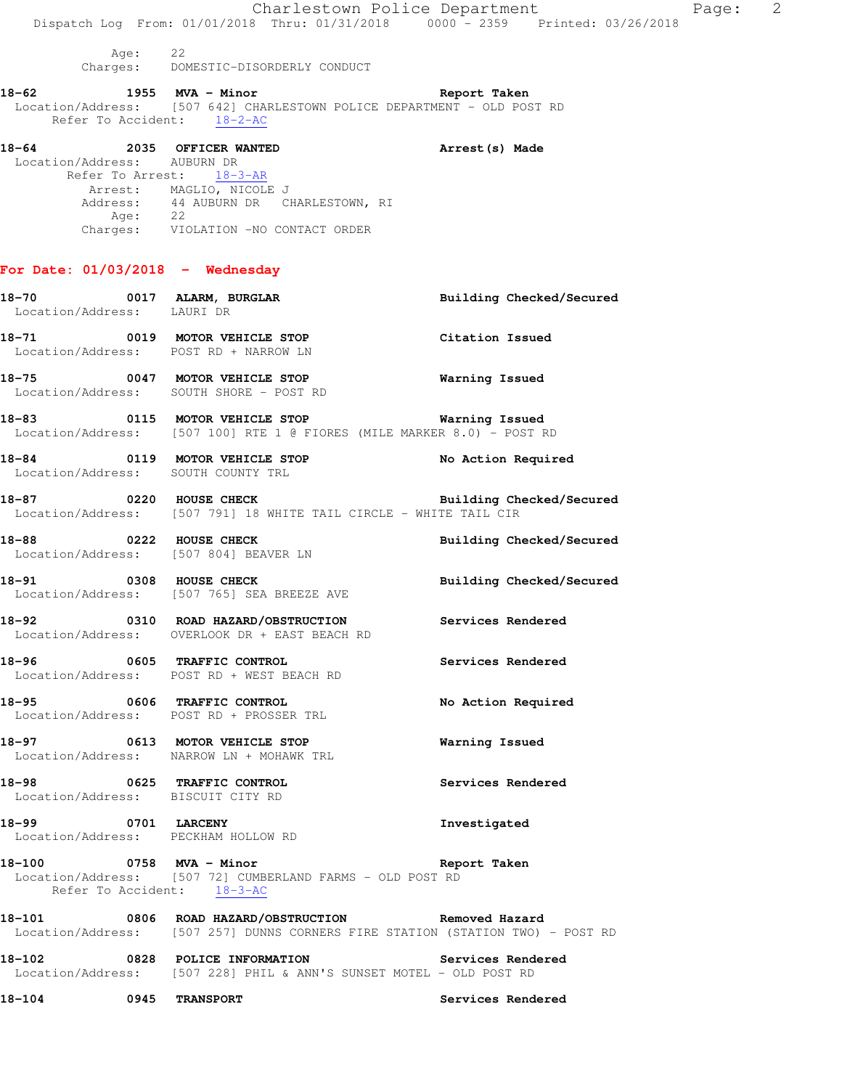|        |                                        | Dispatch Log From: 01/01/2018 Thru: 01/31/2018 0000 - 2359 Printed: 03/26/2018                                                                                                        | Charlestown Police Department | 2<br>Page: |
|--------|----------------------------------------|---------------------------------------------------------------------------------------------------------------------------------------------------------------------------------------|-------------------------------|------------|
|        | Age: 22                                | Charges: DOMESTIC-DISORDERLY CONDUCT                                                                                                                                                  |                               |            |
|        |                                        | 18-62 1955 MVA - Minor Changes and Report Taken<br>Location/Address: [507 642] CHARLESTOWN POLICE DEPARTMENT - OLD POST RD<br>Refer To Accident: 18-2-AC                              |                               |            |
|        | Location/Address: AUBURN DR<br>Age: 22 | 18-64 2035 OFFICER WANTED<br>Arrest (s) Made<br>Refer To Arrest: 18-3-AR<br>Arrest: MAGLIO, NICOLE J<br>Address: 44 AUBURN DR CHARLESTOWN, RI<br>Charges: VIOLATION -NO CONTACT ORDER |                               |            |
|        |                                        | For Date: $01/03/2018$ - Wednesday                                                                                                                                                    |                               |            |
|        | Location/Address: LAURI DR             | 18-70 0017 ALARM, BURGLAR                                                                                                                                                             | Building Checked/Secured      |            |
|        |                                        | 18-71 0019 MOTOR VEHICLE STOP<br>Location/Address: POST RD + NARROW LN                                                                                                                | Citation Issued               |            |
|        |                                        | 18-75 0047 MOTOR VEHICLE STOP<br>Location/Address: SOUTH SHORE - POST RD                                                                                                              | Warning Issued                |            |
|        |                                        | 18-83 <b>0115 MOTOR VEHICLE STOP Warning Issued</b><br>Location/Address: [507 100] RTE 1 @ FIORES (MILE MARKER 8.0) - POST RD                                                         |                               |            |
|        |                                        | 18-84 0119 MOTOR VEHICLE STOP<br>Location/Address: SOUTH COUNTY TRL                                                                                                                   | No Action Required            |            |
|        |                                        | 18-87 6220 HOUSE CHECK 2000 Building Checked/Secured<br>Location/Address: [507 791] 18 WHITE TAIL CIRCLE - WHITE TAIL CIR                                                             |                               |            |
|        | 18-88 0222 HOUSE CHECK                 | Location/Address: [507 804] BEAVER LN                                                                                                                                                 | Building Checked/Secured      |            |
|        |                                        | 18-91 0308 HOUSE CHECK<br>Location/Address: [507 765] SEA BREEZE AVE                                                                                                                  | Building Checked/Secured      |            |
|        |                                        | 18-92 0310 ROAD HAZARD/OBSTRUCTION<br>Location/Address: OVERLOOK DR + EAST BEACH RD                                                                                                   | Services Rendered             |            |
|        |                                        | 18-96 0605 TRAFFIC CONTROL<br>Location/Address: POST RD + WEST BEACH RD                                                                                                               | Services Rendered             |            |
| 18-95  |                                        | 0606 TRAFFIC CONTROL<br>Location/Address: POST RD + PROSSER TRL                                                                                                                       | No Action Required            |            |
|        |                                        | 18-97 0613 MOTOR VEHICLE STOP<br>Location/Address: NARROW LN + MOHAWK TRL                                                                                                             | Warning Issued                |            |
|        |                                        | 18-98 0625 TRAFFIC CONTROL<br>Location/Address: BISCUIT CITY RD                                                                                                                       | Services Rendered             |            |
|        |                                        | 18-99 0701 LARCENY<br>Location/Address: PECKHAM HOLLOW RD                                                                                                                             | Investigated                  |            |
|        |                                        | 18-100 0758 MVA - Minor<br>Location/Address: [507 72] CUMBERLAND FARMS - OLD POST RD<br>Refer To Accident: 18-3-AC                                                                    | Report Taken                  |            |
|        |                                        | 18-101 0806 ROAD HAZARD/OBSTRUCTION Removed Hazard<br>Location/Address: [507 257] DUNNS CORNERS FIRE STATION (STATION TWO) - POST RD                                                  |                               |            |
|        |                                        | 18-102 0828 POLICE INFORMATION<br>Location/Address: [507 228] PHIL & ANN'S SUNSET MOTEL - OLD POST RD                                                                                 | Services Rendered             |            |
| 18-104 | 0945 TRANSPORT                         |                                                                                                                                                                                       | Services Rendered             |            |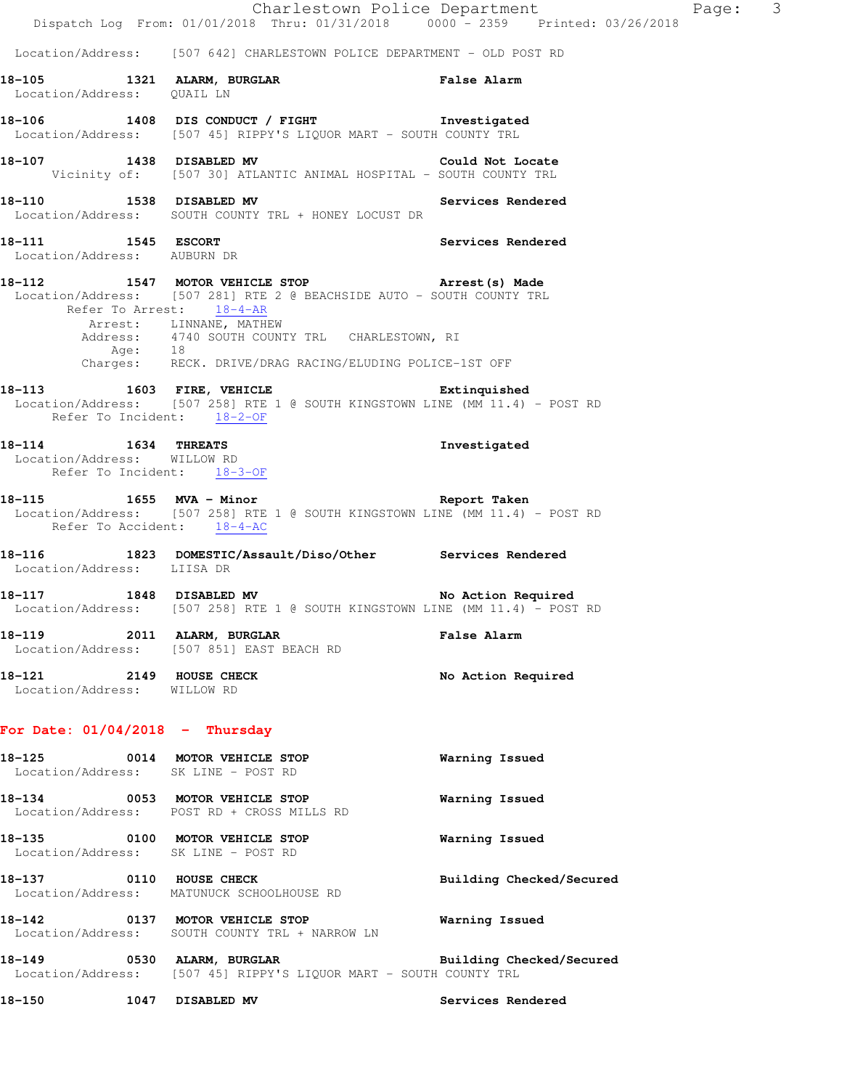|                                                                                    | Dispatch Log From: 01/01/2018 Thru: 01/31/2018 0000 - 2359 Printed: 03/26/2018                                                                                                                                                                                                    | Charlestown Police Department Page: 3 |  |
|------------------------------------------------------------------------------------|-----------------------------------------------------------------------------------------------------------------------------------------------------------------------------------------------------------------------------------------------------------------------------------|---------------------------------------|--|
|                                                                                    | Location/Address: [507 642] CHARLESTOWN POLICE DEPARTMENT - OLD POST RD                                                                                                                                                                                                           |                                       |  |
| Location/Address: QUAIL LN                                                         | 18-105 1321 ALARM, BURGLAR 18 False Alarm                                                                                                                                                                                                                                         |                                       |  |
|                                                                                    | 18-106 1408 DIS CONDUCT / FIGHT 18-106<br>Location/Address: [507 45] RIPPY'S LIQUOR MART - SOUTH COUNTY TRL                                                                                                                                                                       |                                       |  |
|                                                                                    | 18-107 1438 DISABLED MV Could Not Locate<br>Vicinity of: [507 30] ATLANTIC ANIMAL HOSPITAL - SOUTH COUNTY TRL                                                                                                                                                                     |                                       |  |
|                                                                                    | 18-110 1538 DISABLED MV Services Rendered<br>Location/Address: SOUTH COUNTY TRL + HONEY LOCUST DR                                                                                                                                                                                 |                                       |  |
| 18-111 1545 ESCORT                                                                 | 1545 ESCORT<br>  Location/Address: AUBURN DR                                                                                                                                                                                                                                      | Services Rendered                     |  |
| Refer To Arrest: 18-4-AR                                                           | 18-112 1547 MOTOR VEHICLE STOP <b>Arrest</b> (s) Made<br>Location/Address: [507 281] RTE 2 @ BEACHSIDE AUTO - SOUTH COUNTY TRL<br>Arrest: LINNANE, MATHEW<br>Address: 4740 SOUTH COUNTY TRL CHARLESTOWN, RI<br>Age: 18<br>Charges: RECK. DRIVE/DRAG RACING/ELUDING POLICE-1ST OFF |                                       |  |
| Refer To Incident: 18-2-OF                                                         | 18-113 1603 FIRE, VEHICLE 18-113<br>Location/Address: [507 258] RTE 1 @ SOUTH KINGSTOWN LINE (MM 11.4) - POST RD                                                                                                                                                                  |                                       |  |
| $18-114$ 1634 THREATS<br>Location/Address: WILLOW RD<br>Refer To Incident: 18-3-OF |                                                                                                                                                                                                                                                                                   | Investigated                          |  |
| Refer To Accident: 18-4-AC                                                         | 18-115 1655 MVA - Minor 18-115 Report Taken<br>Location/Address: [507 258] RTE 1 @ SOUTH KINGSTOWN LINE (MM 11.4) - POST RD                                                                                                                                                       |                                       |  |
| Location/Address: LIISA DR                                                         | 18-116 1823 DOMESTIC/Assault/Diso/Other Services Rendered                                                                                                                                                                                                                         |                                       |  |
|                                                                                    | 18-117 1848 DISABLED MV<br>Location/Address: [507 258] RTE 1 @ SOUTH KINGSTOWN LINE (MM 11.4) - POST RD                                                                                                                                                                           | No Action Required                    |  |
|                                                                                    | 18-119 2011 ALARM, BURGLAR<br>Location/Address: [507 851] EAST BEACH RD                                                                                                                                                                                                           | <b>False Alarm</b>                    |  |
| 18-121 2149 HOUSE CHECK<br>Location/Address: WILLOW RD                             |                                                                                                                                                                                                                                                                                   | No Action Required                    |  |
| For Date: $01/04/2018$ - Thursday                                                  |                                                                                                                                                                                                                                                                                   |                                       |  |
| Location/Address: SK LINE - POST RD                                                | 18-125 0014 MOTOR VEHICLE STOP                                                                                                                                                                                                                                                    | Warning Issued                        |  |
|                                                                                    | 18-134 0053 MOTOR VEHICLE STOP<br>Location/Address: POST RD + CROSS MILLS RD                                                                                                                                                                                                      | Warning Issued                        |  |
| Location/Address: SK LINE - POST RD                                                | 18-135 0100 MOTOR VEHICLE STOP                                                                                                                                                                                                                                                    | Warning Issued                        |  |
|                                                                                    | 18-137 0110 HOUSE CHECK<br>Location/Address: MATUNUCK SCHOOLHOUSE RD                                                                                                                                                                                                              | Building Checked/Secured              |  |
|                                                                                    | 18-142 0137 MOTOR VEHICLE STOP<br>Location/Address: SOUTH COUNTY TRL + NARROW LN                                                                                                                                                                                                  | Warning Issued                        |  |
|                                                                                    | 18-149 		 0530 ALARM, BURGLAR 		 Building Checked/Secured<br>Location/Address: [507 45] RIPPY'S LIQUOR MART - SOUTH COUNTY TRL                                                                                                                                                    |                                       |  |
| 18-150<br>1047 DISABLED MV                                                         |                                                                                                                                                                                                                                                                                   | Services Rendered                     |  |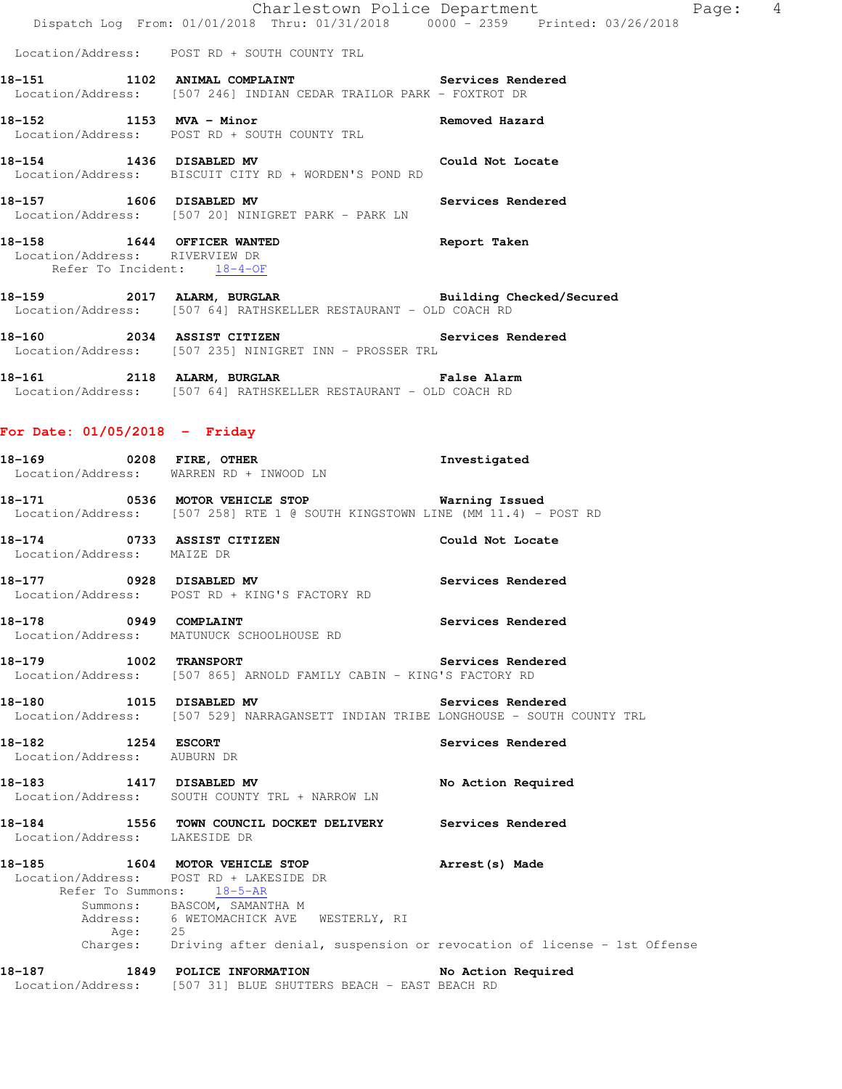|                                                              | Charlestown Police Department<br>Dispatch Log From: 01/01/2018 Thru: 01/31/2018 0000 - 2359 Printed: 03/26/2018                        |                   |
|--------------------------------------------------------------|----------------------------------------------------------------------------------------------------------------------------------------|-------------------|
|                                                              | Location/Address: POST RD + SOUTH COUNTY TRL                                                                                           |                   |
|                                                              | 18-151 1102 ANIMAL COMPLAINT Services Rendered Location/Address: [507 246] INDIAN CEDAR TRAILOR PARK - FOXTROT DR                      |                   |
|                                                              | 18-152 1153 MVA - Minor<br>Location/Address: POST RD + SOUTH COUNTY TRL Removed Hazard                                                 |                   |
|                                                              | 18-154 1436 DISABLED MV Could Not Locate<br>Location/Address: BISCUIT CITY RD + WORDEN'S POND RD                                       |                   |
| 18-157 1606 DISABLED MV                                      | Location/Address: [507 20] NINIGRET PARK - PARK LN                                                                                     | Services Rendered |
| Location/Address: RIVERVIEW DR<br>Refer To Incident: 18-4-OF | 18-158 1644 OFFICER WANTED 18-158                                                                                                      |                   |
|                                                              | 18-159  2017 ALARM, BURGLAR    Government Building Checked/Secured<br>Location/Address: [507 64] RATHSKELLER RESTAURANT - OLD COACH RD |                   |
|                                                              | 18-160 2034 ASSIST CITIZEN Services Rendered<br>Location/Address: [507 235] NINIGRET INN - PROSSER TRL                                 |                   |
|                                                              | 18-161   2118   ALARM, BURGLAR   ENGLISH   False Alarm<br>Location/Address: [507 64] RATHSKELLER RESTAURANT - OLD COACH RD             |                   |
| For Date: $01/05/2018$ - Friday                              |                                                                                                                                        |                   |
|                                                              | 18-169 0208 FIRE, OTHER<br>Location/Address: WARREN RD + INWOOD LN                                                                     | Investigated      |
|                                                              | 18-171 0536 MOTOR VEHICLE STOP Warning Issued<br>Location/Address: [507 258] RTE 1 @ SOUTH KINGSTOWN LINE (MM 11.4) - POST RD          |                   |
| 18-174 0733 ASSIST CITIZEN<br>Location/Address: MAIZE DR     | Could Not Locate                                                                                                                       |                   |

**18-177 0928 DISABLED MV Services Rendered**  Location/Address: POST RD + KING'S FACTORY RD

**18-178 0949 COMPLAINT Services Rendered**  Location/Address: MATUNUCK SCHOOLHOUSE RD

18-179 1002 TRANSPORT **18-179** Services Rendered Location/Address: [507 865] ARNOLD FAMILY CABIN - KING'S FACTORY RD

**18-180 1015 DISABLED MV Services Rendered**  Location/Address: [507 529] NARRAGANSETT INDIAN TRIBE LONGHOUSE - SOUTH COUNTY TRL

**18-182 1254 ESCORT Services Rendered**  Location/Address: AUBURN DR

**18-183 1417 DISABLED MV No Action Required**  Location/Address: SOUTH COUNTY TRL + NARROW LN

# **18-184 1556 TOWN COUNCIL DOCKET DELIVERY Services Rendered**  Location/Address: LAKESIDE DR

**18-185 1604 MOTOR VEHICLE STOP Arrest(s) Made**  Location/Address: POST RD + LAKESIDE DR Refer To Summons:  $18-5-AR$  Summons: BASCOM, SAMANTHA M Address: 6 WETOMACHICK AVE WESTERLY, RI Age: 25 Charges: Driving after denial, suspension or revocation of license - 1st Offense

#### **18-187 1849 POLICE INFORMATION No Action Required**  Location/Address: [507 31] BLUE SHUTTERS BEACH - EAST BEACH RD

Page: 4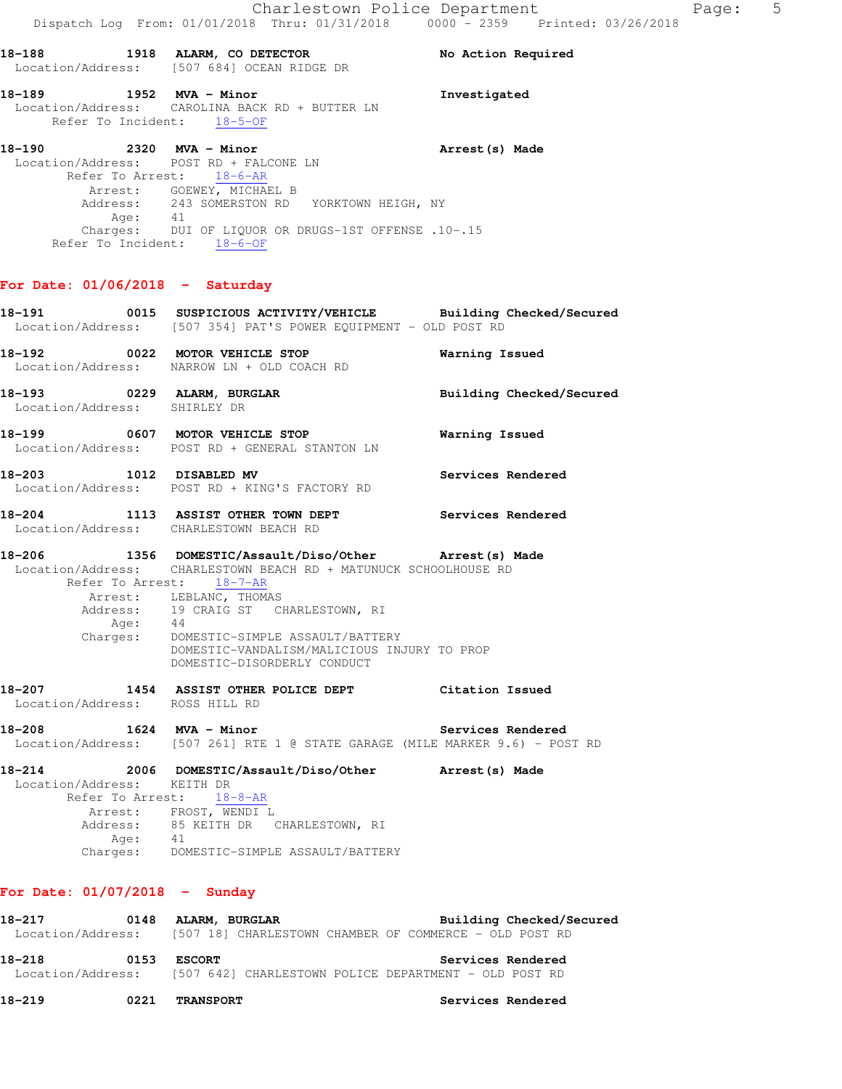| 18-188            | 1918 ALARM, CO DETECTOR  | No Action Required |
|-------------------|--------------------------|--------------------|
| Location/Address: | [507 684] OCEAN RIDGE DR |                    |

#### **18-189 1952 MVA - Minor Investigated**  Location/Address: CAROLINA BACK RD + BUTTER LN Refer To Incident: 18-5-OF

**18-190 2320 MVA - Minor Arrest(s) Made**  Location/Address: POST RD + FALCONE LN Refer To Arrest: 18-6-AR Arrest: GOEWEY, MICHAEL B Address: 243 SOMERSTON RD YORKTOWN HEIGH, NY Age: 41 Charges: DUI OF LIQUOR OR DRUGS-1ST OFFENSE .10-.15 Refer To Incident: 18-6-OF

# **For Date: 01/06/2018 - Saturday**

- **18-191 0015 SUSPICIOUS ACTIVITY/VEHICLE Building Checked/Secured**  Location/Address: [507 354] PAT'S POWER EQUIPMENT - OLD POST RD **18-192 0022 MOTOR VEHICLE STOP Warning Issued**  Location/Address: NARROW LN + OLD COACH RD **18-193 0229 ALARM, BURGLAR Building Checked/Secured**  Location/Address: SHIRLEY DR **18-199 0607 MOTOR VEHICLE STOP Warning Issued**  Location/Address: POST RD + GENERAL STANTON LN 18-203 1012 DISABLED MV Services Rendered Location/Address: POST RD + KING'S FACTORY RD **18-204 1113 ASSIST OTHER TOWN DEPT Services Rendered**  Location/Address: CHARLESTOWN BEACH RD **18-206 1356 DOMESTIC/Assault/Diso/Other Arrest(s) Made**  Location/Address: CHARLESTOWN BEACH RD + MATUNUCK SCHOOLHOUSE RD Refer To Arrest: 18-7-AR Arrest: LEBLANC, THOMAS<br>Address: 19 CRAIG ST CI 19 CRAIG ST CHARLESTOWN, RI Age: Charges: DOMESTIC-SIMPLE ASSAULT/BATTERY DOMESTIC-VANDALISM/MALICIOUS INJURY TO PROP DOMESTIC-DISORDERLY CONDUCT **18-207 1454 ASSIST OTHER POLICE DEPT Citation Issued**  Location/Address: ROSS HILL RD **18-208 1624 MVA - Minor Services Rendered**  Location/Address: [507 261] RTE 1 @ STATE GARAGE (MILE MARKER 9.6) - POST RD **18-214 2006 DOMESTIC/Assault/Diso/Other Arrest(s) Made**  Location/Address: KEITH DR Refer To Arrest: 18-8-AR Arrest: FROST, WENDI L Address: 85 KEITH DR CHARLESTOWN, RI
	- Age: 41 Charges: DOMESTIC-SIMPLE ASSAULT/BATTERY

### **For Date: 01/07/2018 - Sunday**

| 18-217<br>Location/Address:                                                       | 0148 | ALARM, BURGLAR | [507 18] CHARLESTOWN CHAMBER OF COMMERCE - OLD POST RD |  |                   | Building Checked/Secured |  |
|-----------------------------------------------------------------------------------|------|----------------|--------------------------------------------------------|--|-------------------|--------------------------|--|
| 18-218<br>Location/Address: [507 642] CHARLESTOWN POLICE DEPARTMENT - OLD POST RD | 0153 | <b>ESCORT</b>  |                                                        |  | Services Rendered |                          |  |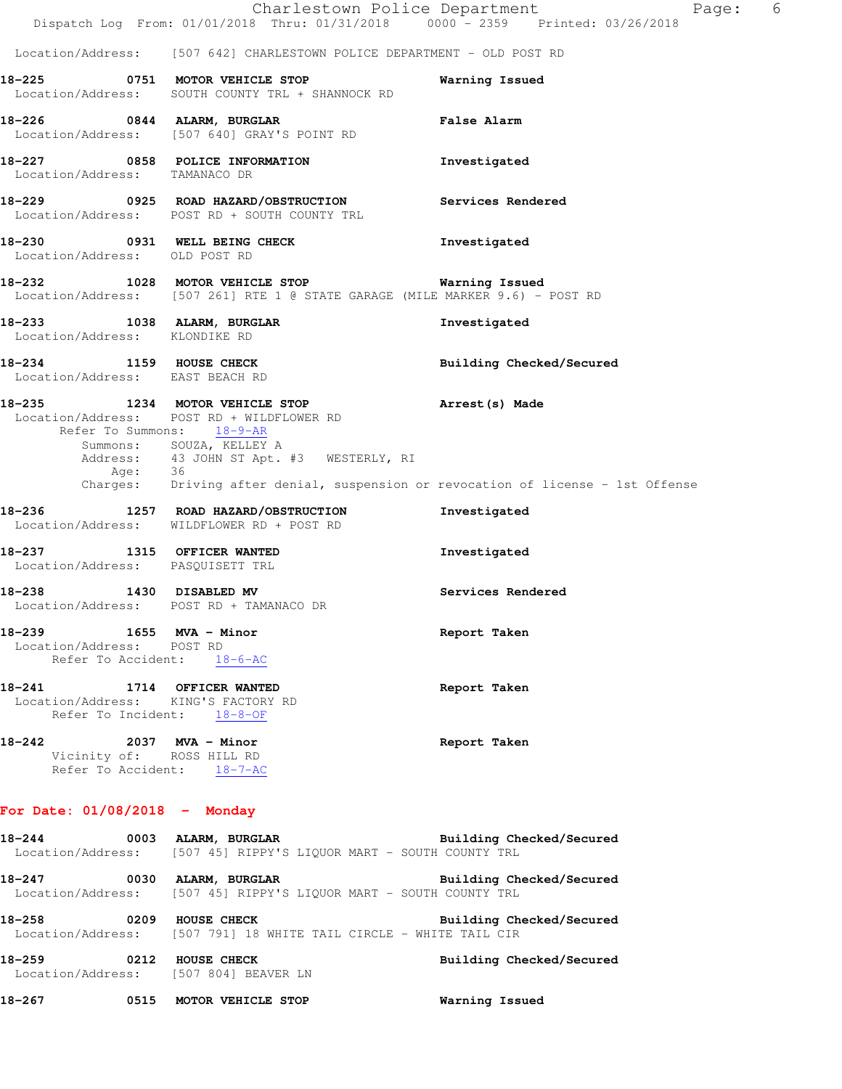|                                                                                                 | Charlestown Police Department                                                                                                                       | 6<br>Page:               |
|-------------------------------------------------------------------------------------------------|-----------------------------------------------------------------------------------------------------------------------------------------------------|--------------------------|
|                                                                                                 | Dispatch Log From: 01/01/2018 Thru: 01/31/2018 0000 - 2359 Printed: 03/26/2018                                                                      |                          |
|                                                                                                 | Location/Address: [507 642] CHARLESTOWN POLICE DEPARTMENT - OLD POST RD                                                                             |                          |
|                                                                                                 | 18-225 0751 MOTOR VEHICLE STOP<br>Location/Address: SOUTH COUNTY TRL + SHANNOCK RD                                                                  | Warning Issued           |
|                                                                                                 | 18-226 0844 ALARM, BURGLAR<br>Location/Address: [507 640] GRAY'S POINT RD                                                                           | <b>False Alarm</b>       |
| Location/Address: TAMANACO DR                                                                   | 18-227 0858 POLICE INFORMATION                                                                                                                      | Investigated             |
|                                                                                                 | 18-229 		 0925 ROAD HAZARD/OBSTRUCTION Services Rendered<br>Location/Address: POST RD + SOUTH COUNTY TRL                                            |                          |
| Location/Address: OLD POST RD                                                                   | 18-230 0931 WELL BEING CHECK                                                                                                                        | Investigated             |
|                                                                                                 | 18-232 1028 MOTOR VEHICLE STOP <b>WARELL WARELLY</b><br>Location/Address: [507 261] RTE 1 @ STATE GARAGE (MILE MARKER 9.6) - POST RD                |                          |
| Location/Address: KLONDIKE RD                                                                   | 18-233 1038 ALARM, BURGLAR                                                                                                                          | Investigated             |
| 18-234 1159 HOUSE CHECK<br>Location/Address: EAST BEACH RD                                      |                                                                                                                                                     | Building Checked/Secured |
| Refer To Summons: 18-9-AR<br>Age: 36                                                            | 18-235 1234 MOTOR VEHICLE STOP<br>Location/Address: POST RD + WILDFLOWER RD<br>Summons: SOUZA, KELLEY A<br>Address: 43 JOHN ST Apt. #3 WESTERLY, RI | Arrest(s) Made           |
|                                                                                                 | Charges: Driving after denial, suspension or revocation of license - 1st Offense                                                                    |                          |
|                                                                                                 | 18-236 1257 ROAD HAZARD/OBSTRUCTION<br>Location/Address: WILDFLOWER RD + POST RD                                                                    | Investigated             |
| 18-237 1315 OFFICER WANTED<br>Location/Address: PASQUISETT TRL                                  |                                                                                                                                                     | Investigated             |
| 1430 DISABLED MV<br>18–238                                                                      | Location/Address: POST RD + TAMANACO DR                                                                                                             | Services Rendered        |
| 18-239 1655 MVA - Minor<br>Location/Address: POST RD<br>Refer To Accident: 18-6-AC              |                                                                                                                                                     | Report Taken             |
| 18-241 1714 OFFICER WANTED<br>Location/Address: KING'S FACTORY RD<br>Refer To Incident: 18-8-OF |                                                                                                                                                     | Report Taken             |
| 18-242 2037 MVA - Minor<br>Vicinity of: ROSS HILL RD<br>Refer To Accident: 18-7-AC              |                                                                                                                                                     | Report Taken             |
| For Date: $01/08/2018$ - Monday                                                                 |                                                                                                                                                     |                          |
|                                                                                                 | 18-244 0003 ALARM, BURGLAR BURGER Building Checked/Secured<br>Location/Address: [507 45] RIPPY'S LIQUOR MART - SOUTH COUNTY TRL                     |                          |
|                                                                                                 | 18-247 0030 ALARM, BURGLAR BURGER Building Checked/Secured<br>Location/Address: [507 45] RIPPY'S LIQUOR MART - SOUTH COUNTY TRL                     |                          |
|                                                                                                 | 18-258 0209 HOUSE CHECK<br>Location/Address: [507 791] 18 WHITE TAIL CIRCLE - WHITE TAIL CIR                                                        | Building Checked/Secured |
| 18-259 0212 HOUSE CHECK                                                                         | Location/Address: [507 804] BEAVER LN                                                                                                               | Building Checked/Secured |

**18-267 0515 MOTOR VEHICLE STOP Warning Issued**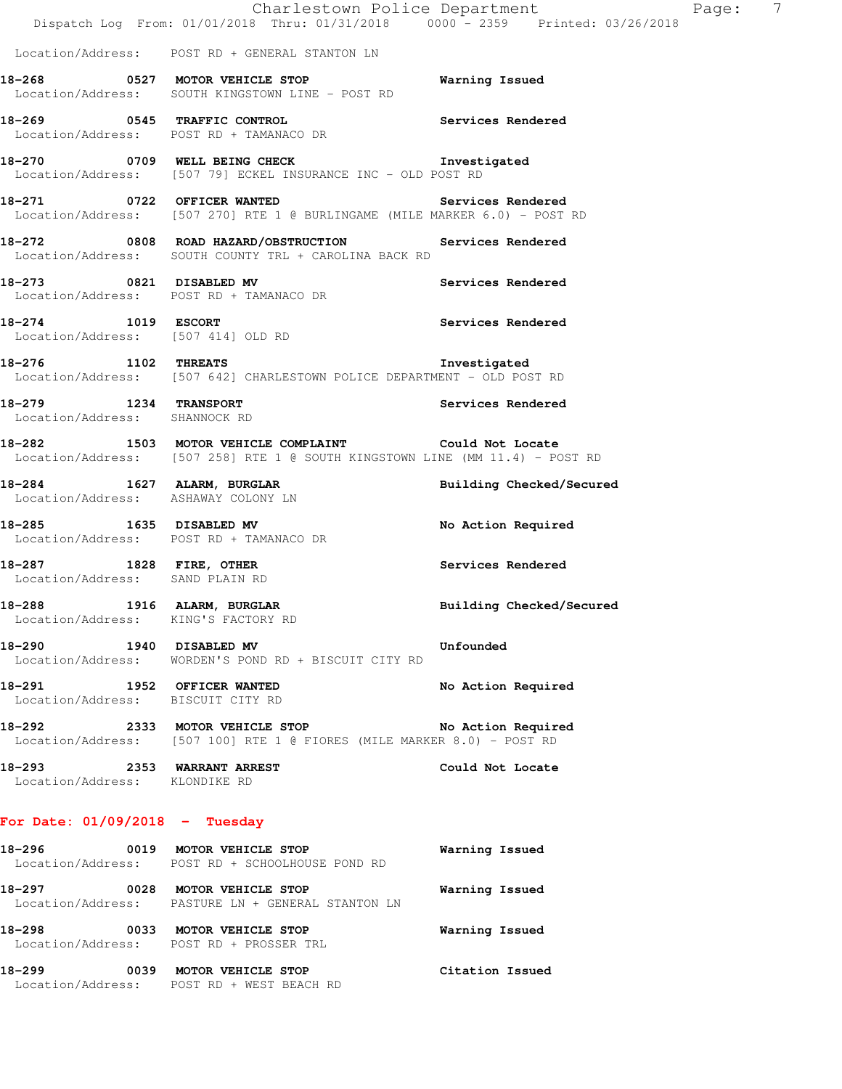|                               | For Date: $01/09/2018$ - Tuesday                                                                                                     |                          |  |
|-------------------------------|--------------------------------------------------------------------------------------------------------------------------------------|--------------------------|--|
| Location/Address: KLONDIKE RD | 18-293 2353 WARRANT ARREST                                                                                                           | Could Not Locate         |  |
|                               | Location/Address: [507 100] RTE 1 @ FIORES (MILE MARKER 8.0) - POST RD                                                               |                          |  |
|                               | 18-291 1952 OFFICER WANTED<br>Location/Address: BISCUIT CITY RD                                                                      | No Action Required       |  |
| 18-290 1940 DISABLED MV       | Location/Address: WORDEN'S POND RD + BISCUIT CITY RD                                                                                 | Unfounded                |  |
| 18-288                        | 1916 ALARM, BURGLAR<br>Location/Address: KING'S FACTORY RD                                                                           | Building Checked/Secured |  |
|                               | 18-287 1828 FIRE, OTHER<br>Location/Address: SAND PLAIN RD                                                                           | Services Rendered        |  |
|                               | 18-285 1635 DISABLED MV<br>Location/Address: POST RD + TAMANACO DR                                                                   | No Action Required       |  |
|                               | 18-284 1627 ALARM, BURGLAR<br>Location/Address: ASHAWAY COLONY LN                                                                    | Building Checked/Secured |  |
|                               | 18-282 1503 MOTOR VEHICLE COMPLAINT Could Not Locate<br>Location/Address: [507 258] RTE 1 @ SOUTH KINGSTOWN LINE (MM 11.4) - POST RD |                          |  |
| Location/Address: SHANNOCK RD | 18-279 1234 TRANSPORT                                                                                                                | Services Rendered        |  |
|                               | 18-276 1102 THREATS 18-276<br>Location/Address: [507 642] CHARLESTOWN POLICE DEPARTMENT - OLD POST RD                                |                          |  |
|                               | 18-274 1019 ESCORT<br>Location/Address: [507 414] OLD RD                                                                             | Services Rendered        |  |
|                               | 18-273 0821 DISABLED MV<br>Location/Address: POST RD + TAMANACO DR                                                                   | Services Rendered        |  |
|                               | 18-272 0808 ROAD HAZARD/OBSTRUCTION Services Rendered<br>Location/Address: SOUTH COUNTY TRL + CAROLINA BACK RD                       |                          |  |
|                               | 18-271 0722 OFFICER WANTED<br>Location/Address: [507 270] RTE 1 @ BURLINGAME (MILE MARKER 6.0) - POST RD                             | Services Rendered        |  |
|                               | 18-270 0709 WELL BEING CHECK 1nvestigated<br>Location/Address: [507 79] ECKEL INSURANCE INC - OLD POST RD                            |                          |  |
|                               | 18-269 0545 TRAFFIC CONTROL<br>Location/Address: POST RD + TAMANACO DR                                                               | Services Rendered        |  |
|                               | 18-268 			 0527 MOTOR VEHICLE STOP 							 Warning Issued<br>Location/Address: SOUTH KINGSTOWN LINE - POST RD                        |                          |  |
|                               | Location/Address: POST RD + GENERAL STANTON LN                                                                                       |                          |  |
|                               | Dispatch Log From: 01/01/2018 Thru: 01/31/2018 0000 - 2359 Printed: 03/26/2018                                                       |                          |  |

 Location/Address: POST RD + SCHOOLHOUSE POND RD **18-297 0028 MOTOR VEHICLE STOP Warning Issued**  Location/Address: PASTURE LN + GENERAL STANTON LN **18-298 0033 MOTOR VEHICLE STOP Warning Issued**  Location/Address: POST RD + PROSSER TRL **18-299 0039 MOTOR VEHICLE STOP Citation Issued**  Location/Address: POST RD + WEST BEACH RD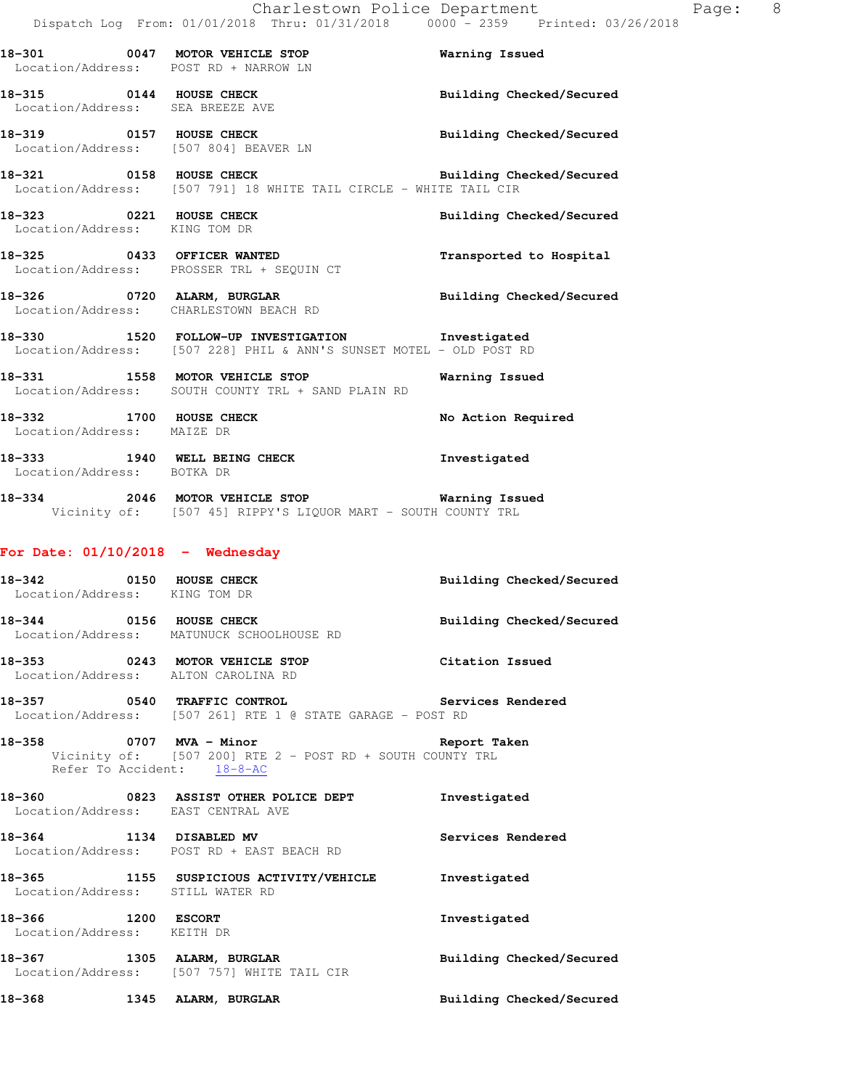|                                                          | 18-301 0047 MOTOR VEHICLE STOP<br>Location/Address: POST RD + NARROW LN                                                 | <b>Warning Issued</b>           |
|----------------------------------------------------------|-------------------------------------------------------------------------------------------------------------------------|---------------------------------|
| 18-315 0144 HOUSE CHECK                                  | Location/Address: SEA BREEZE AVE                                                                                        | Building Checked/Secured        |
|                                                          | 18-319 0157 HOUSE CHECK<br>Location/Address: [507 804] BEAVER LN                                                        | Building Checked/Secured        |
|                                                          | 18-321 0158 HOUSE CHECK<br>Location/Address: [507 791] 18 WHITE TAIL CIRCLE - WHITE TAIL CIR                            | Building Checked/Secured        |
| 18-323 0221 HOUSE CHECK<br>Location/Address: KING TOM DR |                                                                                                                         | Building Checked/Secured        |
|                                                          | 18-325 0433 OFFICER WANTED<br>Location/Address: PROSSER TRL + SEQUIN CT                                                 | Transported to Hospital         |
|                                                          | 18-326 0720 ALARM, BURGLAR BURGLAR Building Checked/Secured<br>Location/Address: CHARLESTOWN BEACH RD                   |                                 |
|                                                          | 18-330 1520 FOLLOW-UP INVESTIGATION 1nvestigated<br>Location/Address: [507 228] PHIL & ANN'S SUNSET MOTEL - OLD POST RD |                                 |
|                                                          | 18-331 1558 MOTOR VEHICLE STOP 6 Warning Issued<br>Location/Address: SOUTH COUNTY TRL + SAND PLAIN RD                   |                                 |
| 18-332 1700 HOUSE CHECK<br>Location/Address: MAIZE DR    |                                                                                                                         | No Action Required              |
| Location/Address: BOTKA DR                               | 18-333 1940 WELL BEING CHECK                                                                                            | Investigated                    |
|                                                          | 18-334 2046 MOTOR VEHICLE STOP 6 Warning Issued<br>Vicinity of: [507 45] RIPPY'S LIQUOR MART - SOUTH COUNTY TRL         |                                 |
| For Date: $01/10/2018$ - Wednesday                       |                                                                                                                         |                                 |
| 18-342 0150 HOUSE CHECK<br>Location/Address: KING TOM DR |                                                                                                                         | <b>Building Checked/Secured</b> |
|                                                          | 18-344 0156 HOUSE CHECK<br>Location/Address: MATUNUCK SCHOOLHOUSE RD                                                    | Building Checked/Secured        |

**18-353 0243 MOTOR VEHICLE STOP Citation Issued**  Location/Address: ALTON CAROLINA RD

**18-357 0540 TRAFFIC CONTROL Services Rendered**  Location/Address: [507 261] RTE 1 @ STATE GARAGE - POST RD

**18-358 0707 MVA - Minor Report Taken**  Vicinity of: [507 200] RTE 2 - POST RD + SOUTH COUNTY TRL Refer To Accident: 18-8-AC

**18-360 0823 ASSIST OTHER POLICE DEPT Investigated**  Location/Address: EAST CENTRAL AVE

**18-364 1134 DISABLED MV Services Rendered**  Location/Address: POST RD + EAST BEACH RD

**18-365 1155 SUSPICIOUS ACTIVITY/VEHICLE Investigated**  Location/Address: STILL WATER RD

**18-366 1200 ESCORT Investigated**  Location/Address: KEITH DR 18-367 **1305 ALARM, BURGLAR BEE** Building Checked/Secured Location/Address: [507 757] WHITE TAIL CIR **18-368 1345 ALARM, BURGLAR Building Checked/Secured**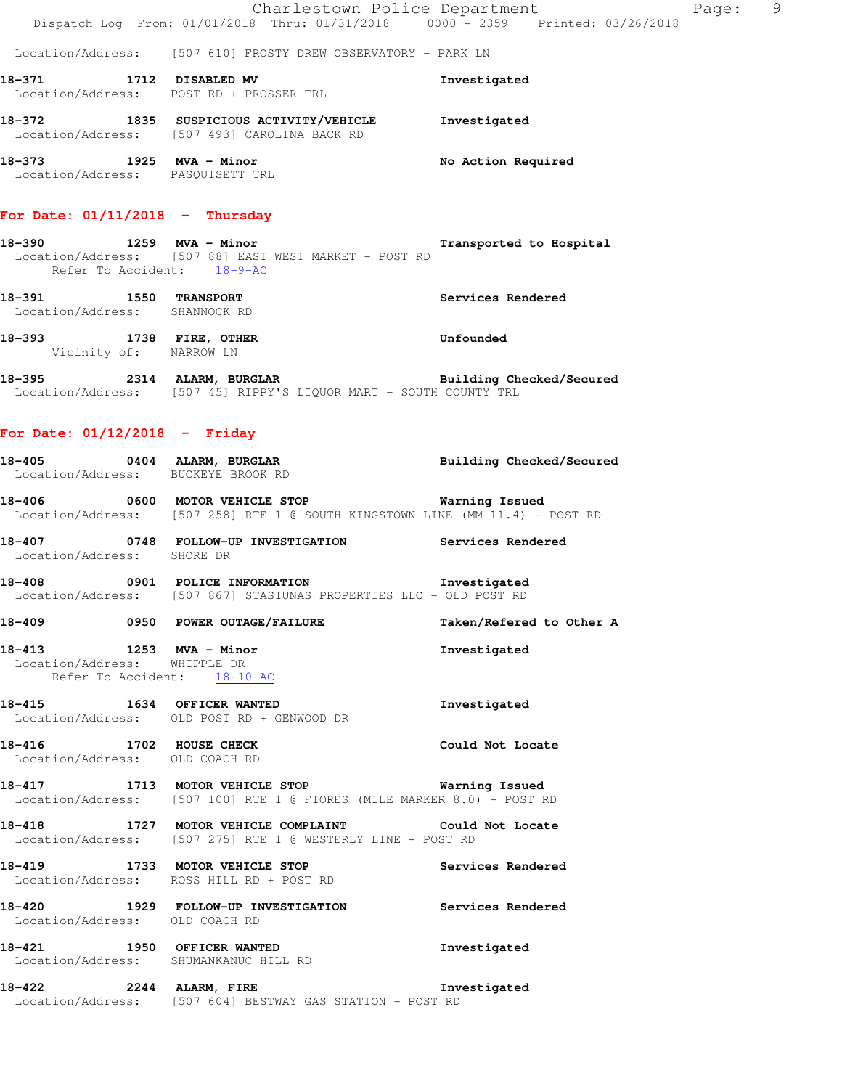Charlestown Police Department Page: 9 Dispatch Log From: 01/01/2018 Thru: 01/31/2018 0000<sup>-</sup> 2359 Printed: 03/26/2018

Location/Address: [507 610] FROSTY DREW OBSERVATORY - PARK LN

| 18-371            | 1712 DISABLED MV      |  | Investigated |
|-------------------|-----------------------|--|--------------|
| Location/Address: | POST RD + PROSSER TRL |  |              |
|                   |                       |  |              |

| 18–372            | 1835 | SUSPICIOUS ACTIVITY/VEHICLE | Investigated       |
|-------------------|------|-----------------------------|--------------------|
| Location/Address: |      | 1507 4931 CAROLINA BACK RD  |                    |
| 18–373            | 1925 | MVA - Minor                 | No Action Required |
| Location/Address: |      | PASOUISETT TRL              |                    |

# **For Date: 01/11/2018 - Thursday**

- **18-390 1259 MVA Minor Transported to Hospital**  Location/Address: [507 88] EAST WEST MARKET - POST RD Refer To Accident:  $18-9-AC$
- **18-391 1550 TRANSPORT Services Rendered**  Location/Address: SHANNOCK RD
- **18-393 1738 FIRE, OTHER Unfounded**  Vicinity of: NARROW LN
- **18-395 2314 ALARM, BURGLAR Building Checked/Secured**  Location/Address: [507 45] RIPPY'S LIQUOR MART - SOUTH COUNTY TRL

### **For Date: 01/12/2018 - Friday**

|                                                             | 18-405 0404 ALARM, BURGLAR BURGLAR Building Checked/Secured Location/Address: BUCKEYE BROOK RD                                         |                          |
|-------------------------------------------------------------|----------------------------------------------------------------------------------------------------------------------------------------|--------------------------|
|                                                             | 18-406 0600 MOTOR VEHICLE STOP Warning Issued<br>Location/Address: [507 258] RTE 1 @ SOUTH KINGSTOWN LINE (MM 11.4) - POST RD          |                          |
| Location/Address: SHORE DR                                  | 18-407 0748 FOLLOW-UP INVESTIGATION Services Rendered                                                                                  |                          |
|                                                             | 18-408 <b>18-408</b> 0901 POLICE INFORMATION <b>Investigated</b><br>Location/Address: [507 867] STASIUNAS PROPERTIES LLC - OLD POST RD |                          |
|                                                             | 18-409 0950 POWER OUTAGE/FAILURE                                                                                                       | Taken/Refered to Other A |
| Location/Address: WHIPPLE DR<br>Refer To Accident: 18-10-AC | 18-413 1253 MVA - Minor                                                                                                                | Investigated             |
|                                                             | 18-415 1634 OFFICER WANTED<br>Location/Address: OLD POST RD + GENWOOD DR                                                               | Investigated             |
|                                                             | 18-416 1702 HOUSE CHECK Could Not Locate<br>Location/Address: OLD COACH RD                                                             |                          |
|                                                             | 18-417 1713 MOTOR VEHICLE STOP 18 Warning Issued<br>Location/Address: [507 100] RTE 1 @ FIORES (MILE MARKER 8.0) - POST RD             |                          |
|                                                             | 18-418<br>1727 MOTOR VEHICLE COMPLAINT Could Not Locate<br>Location/Address: [507 275] RTE 1 @ WESTERLY LINE - POST RD                 |                          |
|                                                             | 18-419 1733 MOTOR VEHICLE STOP Services Rendered<br>Location/Address: ROSS HILL RD + POST RD                                           |                          |
|                                                             | 18-420<br>1929 FOLLOW-UP INVESTIGATION Services Rendered<br>Location/Address: OLD COACH RD                                             |                          |
|                                                             | 18-421 1950 OFFICER WANTED<br>Location/Address: SHUMANKANUC HILL RD                                                                    | Investigated             |
|                                                             | 18-422 2244 ALARM, FIRE 1997 Investigated<br>Location/Address: [507 604] BESTWAY GAS STATION - POST RD                                 |                          |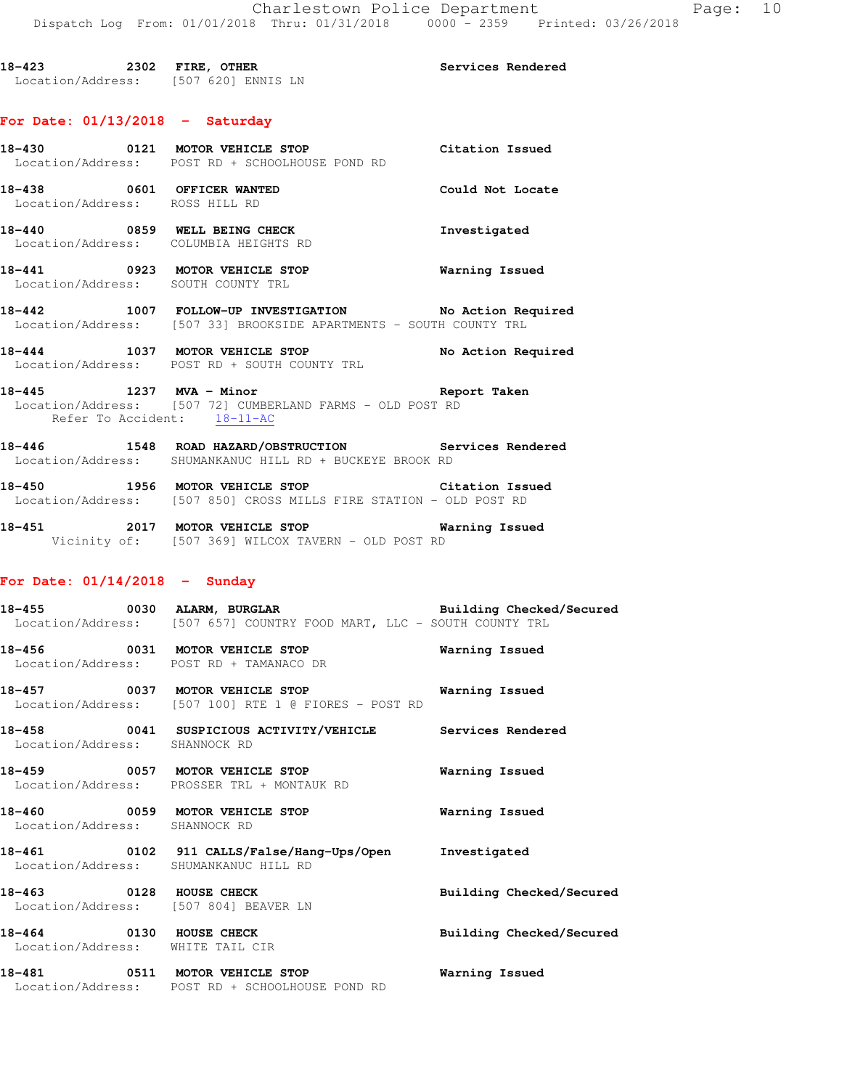18-423 2302 FIRE, OTHER **18-423** Services Rendered Location/Address: [507 620] ENNIS LN

### **For Date: 01/13/2018 - Saturday**

|                                                              | 18-430 0121 MOTOR VEHICLE STOP<br>Location/Address: POST RD + SCHOOLHOUSE POND RD                                     | Citation Issued    |
|--------------------------------------------------------------|-----------------------------------------------------------------------------------------------------------------------|--------------------|
| 18-438 0601 OFFICER WANTED<br>Location/Address: ROSS HILL RD |                                                                                                                       | Could Not Locate   |
|                                                              | 18-440 0859 WELL BEING CHECK<br>Location/Address: COLUMBIA HEIGHTS RD                                                 | Investigated       |
| Location/Address:                                            | 18-441 0923 MOTOR VEHICLE STOP<br>SOUTH COUNTY TRL                                                                    | Warning Issued     |
| 18-442                                                       | 1007 FOLLOW-UP INVESTIGATION No Action Required<br>Location/Address: [507 33] BROOKSIDE APARTMENTS - SOUTH COUNTY TRL |                    |
|                                                              | 18-444 1037 MOTOR VEHICLE STOP<br>Location/Address: POST RD + SOUTH COUNTY TRL                                        | No Action Required |
| 18-445 1237 MVA - Minor                                      | Location/Address: [507 72] CUMBERLAND FARMS - OLD POST RD<br>Refer To Accident: 18-11-AC                              | Report Taken       |
| 18-446                                                       | 1548 ROAD HAZARD/OBSTRUCTION                                                                                          | Services Rendered  |

**18-450 1956 MOTOR VEHICLE STOP Citation Issued**  Location/Address: [507 850] CROSS MILLS FIRE STATION - OLD POST RD

Location/Address: SHUMANKANUC HILL RD + BUCKEYE BROOK RD

**18-451 2017 MOTOR VEHICLE STOP Warning Issued**  Vicinity of: [507 369] WILCOX TAVERN - OLD POST RD

# **For Date: 01/14/2018 - Sunday**

**18-455 0030 ALARM, BURGLAR Building Checked/Secured**  Location/Address: [507 657] COUNTRY FOOD MART, LLC - SOUTH COUNTY TRL **18-456 0031 MOTOR VEHICLE STOP Warning Issued**  Location/Address: POST RD + TAMANACO DR **18-457 0037 MOTOR VEHICLE STOP Warning Issued**  Location/Address: [507 100] RTE 1 @ FIORES - POST RD **18-458 0041 SUSPICIOUS ACTIVITY/VEHICLE Services Rendered**  Location/Address: SHANNOCK RD **18-459 0057 MOTOR VEHICLE STOP Warning Issued**  Location/Address: PROSSER TRL + MONTAUK RD **18-460 0059 MOTOR VEHICLE STOP Warning Issued**  Location/Address: SHANNOCK RD **18-461 0102 911 CALLS/False/Hang-Ups/Open Investigated**  Location/Address: SHUMANKANUC HILL RD **18-463 0128 HOUSE CHECK Building Checked/Secured**  Location/Address: [507 804] BEAVER LN **18-464 0130 HOUSE CHECK Building Checked/Secured**  Location/Address: WHITE TAIL CIR **18-481 0511 MOTOR VEHICLE STOP Warning Issued**  Location/Address: POST RD + SCHOOLHOUSE POND RD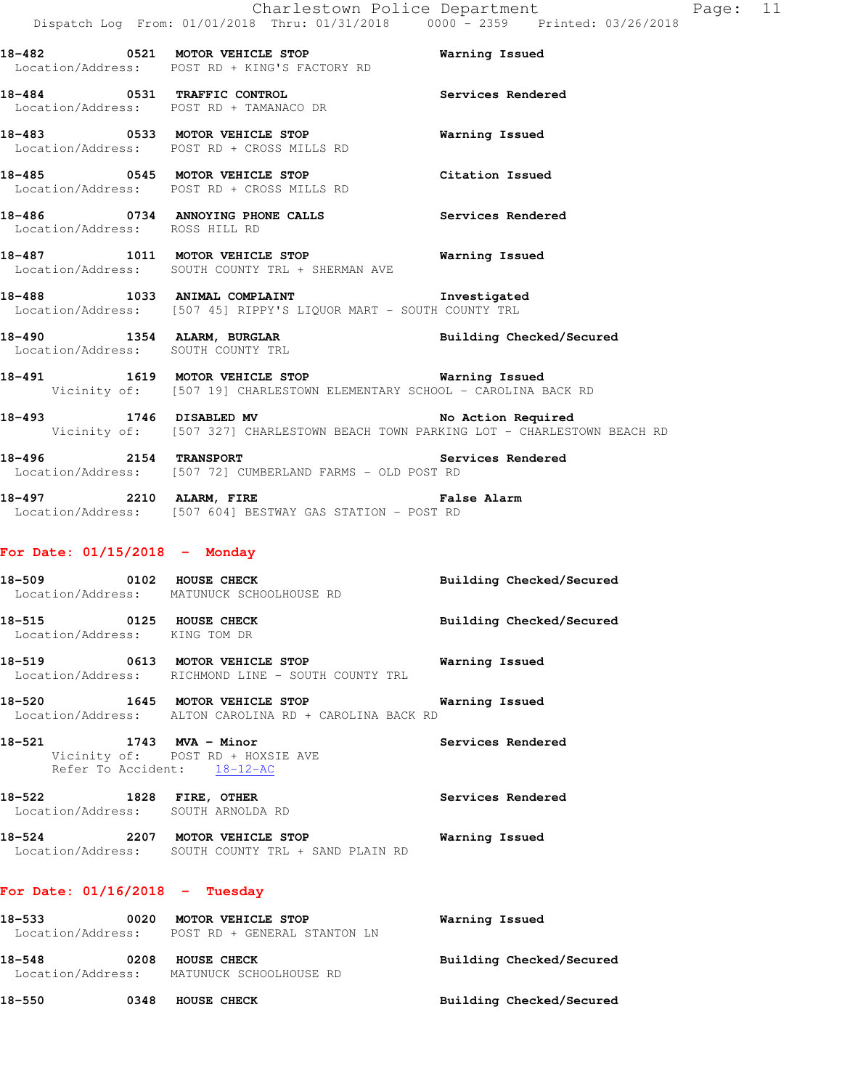**18-482 0521 MOTOR VEHICLE STOP Warning Issued**  Location/Address: POST RD + KING'S FACTORY RD

**18-484 0531 TRAFFIC CONTROL Services Rendered**  Location/Address: POST RD + TAMANACO DR

**18-483 0533 MOTOR VEHICLE STOP Warning Issued**  Location/Address: POST RD + CROSS MILLS RD

**18-485 0545 MOTOR VEHICLE STOP Citation Issued**  Location/Address: POST RD + CROSS MILLS RD

**18-486 0734 ANNOYING PHONE CALLS Services Rendered**  Location/Address: ROSS HILL RD

**18-487 1011 MOTOR VEHICLE STOP Warning Issued**  Location/Address: SOUTH COUNTY TRL + SHERMAN AVE

- **18-488 1033 ANIMAL COMPLAINT Investigated**  Location/Address: [507 45] RIPPY'S LIQUOR MART - SOUTH COUNTY TRL
- **18-490 1354 ALARM, BURGLAR Building Checked/Secured**  Location/Address: SOUTH COUNTY TRL

**18-491 1619 MOTOR VEHICLE STOP Warning Issued**  Vicinity of: [507 19] CHARLESTOWN ELEMENTARY SCHOOL - CAROLINA BACK RD

18-493 **1746** DISABLED MV **No Action Required** Vicinity of: [507 327] CHARLESTOWN BEACH TOWN PARKING LOT - CHARLESTOWN BEACH RD

- **18-496 2154 TRANSPORT Services Rendered**  Location/Address: [507 72] CUMBERLAND FARMS - OLD POST RD
- **18-497 2210 ALARM, FIRE False Alarm**  Location/Address: [507 604] BESTWAY GAS STATION - POST RD

# **For Date: 01/15/2018 - Monday**

- **18-509 0102 HOUSE CHECK Building Checked/Secured**  Location/Address: MATUNUCK SCHOOLHOUSE RD **18-515 0125 HOUSE CHECK Building Checked/Secured**  Location/Address: KING TOM DR
- **18-519 0613 MOTOR VEHICLE STOP Warning Issued**  Location/Address: RICHMOND LINE - SOUTH COUNTY TRL
- **18-520 1645 MOTOR VEHICLE STOP Warning Issued**  Location/Address: ALTON CAROLINA RD + CAROLINA BACK RD
- **18-521 1743 MVA Minor Services Rendered**  Vicinity of: POST RD + HOXSIE AVE Refer To Accident: 18-12-AC
- 18-522 1828 FIRE, OTHER Services Rendered Location/Address: SOUTH ARNOLDA RD
- **18-524 2207 MOTOR VEHICLE STOP Warning Issued**  Location/Address: SOUTH COUNTY TRL + SAND PLAIN RD

# **For Date: 01/16/2018 - Tuesday**

| 18–533<br>Location/Address: | 0020 | MOTOR VEHICLE STOP<br>POST RD + GENERAL STANTON LN | Warning Issued           |
|-----------------------------|------|----------------------------------------------------|--------------------------|
| 18-548<br>Location/Address: | 0208 | <b>HOUSE CHECK</b><br>MATUNUCK SCHOOLHOUSE RD      | Building Checked/Secured |
| 18-550                      | 0348 | <b>HOUSE CHECK</b>                                 | Building Checked/Secured |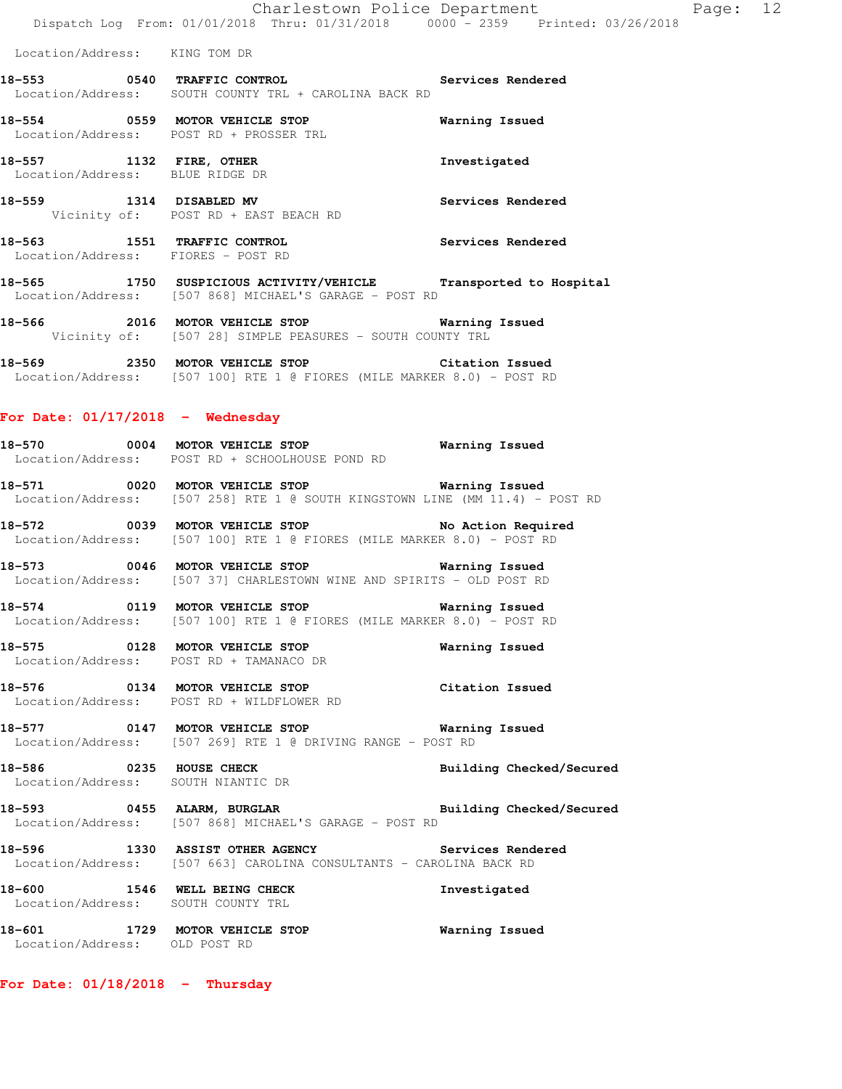Charlestown Police Department Fage: 12 Dispatch Log From: 01/01/2018 Thru: 01/31/2018 0000 - 2359 Printed: 03/26/2018

Location/Address: KING TOM DR

**18-553 0540 TRAFFIC CONTROL Services Rendered**  Location/Address: SOUTH COUNTY TRL + CAROLINA BACK RD

**18-554 0559 MOTOR VEHICLE STOP Warning Issued**  Location/Address: POST RD + PROSSER TRL **18-557 1132 FIRE, OTHER Investigated**  Location/Address: BLUE RIDGE DR

**18-559 1314 DISABLED MV Services Rendered**  Vicinity of: POST RD + EAST BEACH RD

**18-563 1551 TRAFFIC CONTROL Services Rendered**  Location/Address: FIORES - POST RD

**18-565 1750 SUSPICIOUS ACTIVITY/VEHICLE Transported to Hospital**  Location/Address: [507 868] MICHAEL'S GARAGE - POST RD

**18-566 2016 MOTOR VEHICLE STOP Warning Issued**  Vicinity of: [507 28] SIMPLE PEASURES - SOUTH COUNTY TRL

**18-569 2350 MOTOR VEHICLE STOP Citation Issued**  Location/Address: [507 100] RTE 1 @ FIORES (MILE MARKER 8.0) - POST RD

#### **For Date: 01/17/2018 - Wednesday**

**18-570 0004 MOTOR VEHICLE STOP Warning Issued**  Location/Address: POST RD + SCHOOLHOUSE POND RD

**18-571 0020 MOTOR VEHICLE STOP Warning Issued**  Location/Address: [507 258] RTE 1 @ SOUTH KINGSTOWN LINE (MM 11.4) - POST RD

**18-572 0039 MOTOR VEHICLE STOP No Action Required**  Location/Address: [507 100] RTE 1 @ FIORES (MILE MARKER 8.0) - POST RD

**18-573 0046 MOTOR VEHICLE STOP Warning Issued**  Location/Address: [507 37] CHARLESTOWN WINE AND SPIRITS - OLD POST RD

**18-574 0119 MOTOR VEHICLE STOP Warning Issued**  Location/Address: [507 100] RTE 1 @ FIORES (MILE MARKER 8.0) - POST RD

**18-575 0128 MOTOR VEHICLE STOP Warning Issued**  Location/Address: POST RD + TAMANACO DR

**18-576 0134 MOTOR VEHICLE STOP Citation Issued**  Location/Address: POST RD + WILDFLOWER RD

**18-577 0147 MOTOR VEHICLE STOP Warning Issued**  Location/Address: [507 269] RTE 1 @ DRIVING RANGE - POST RD

**18-586 0235 HOUSE CHECK Building Checked/Secured**  Location/Address: SOUTH NIANTIC DR

**18-593 0455 ALARM, BURGLAR Building Checked/Secured**  Location/Address: [507 868] MICHAEL'S GARAGE - POST RD

**18-596 1330 ASSIST OTHER AGENCY Services Rendered**  Location/Address: [507 663] CAROLINA CONSULTANTS - CAROLINA BACK RD

**18-600 1546 WELL BEING CHECK Investigated**  Location/Address: SOUTH COUNTY TRL

**18-601 1729 MOTOR VEHICLE STOP Warning Issued**  Location/Address: OLD POST RD

#### **For Date: 01/18/2018 - Thursday**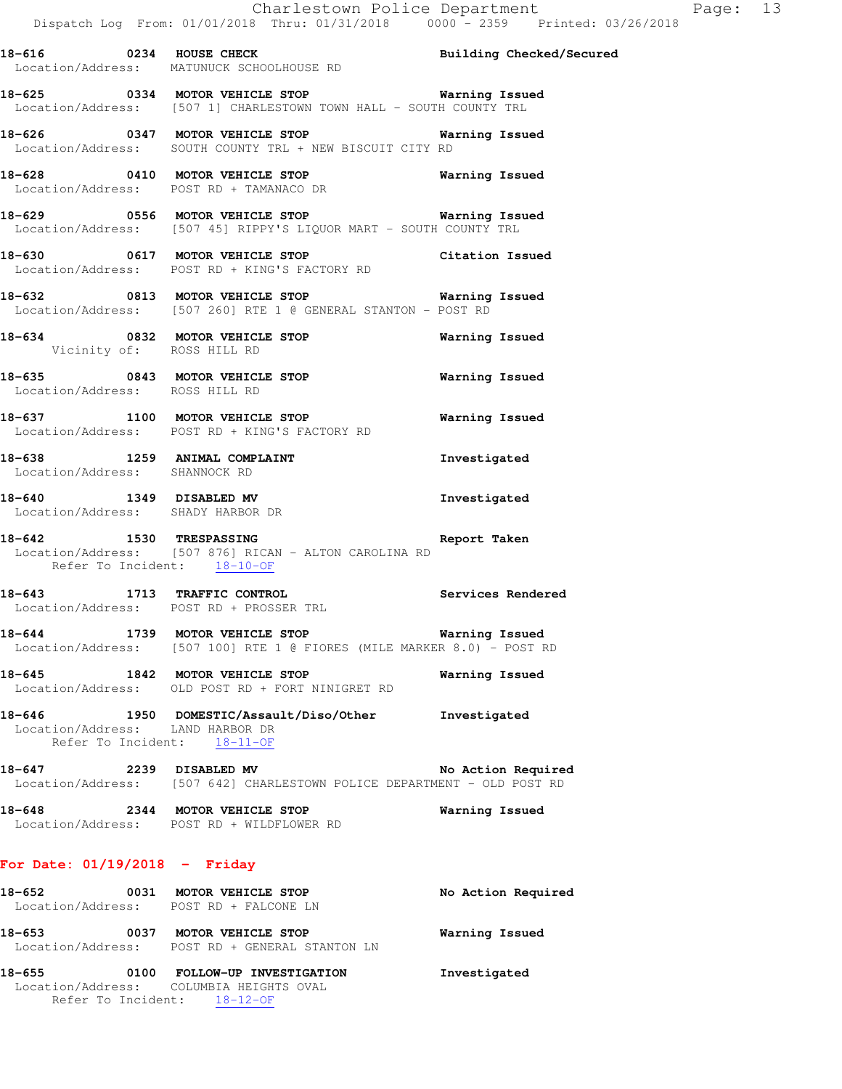**18-625 0334 MOTOR VEHICLE STOP Warning Issued**  Location/Address: [507 1] CHARLESTOWN TOWN HALL - SOUTH COUNTY TRL

**18-626 0347 MOTOR VEHICLE STOP Warning Issued**  Location/Address: SOUTH COUNTY TRL + NEW BISCUIT CITY RD

**18-628 0410 MOTOR VEHICLE STOP Warning Issued**  Location/Address: POST RD + TAMANACO DR

**18-629 0556 MOTOR VEHICLE STOP Warning Issued**  Location/Address: [507 45] RIPPY'S LIQUOR MART - SOUTH COUNTY TRL

**18-630 0617 MOTOR VEHICLE STOP Citation Issued**  Location/Address: POST RD + KING'S FACTORY RD

**18-632 0813 MOTOR VEHICLE STOP Warning Issued**  Location/Address: [507 260] RTE 1 @ GENERAL STANTON - POST RD

**18-634 0832 MOTOR VEHICLE STOP Warning Issued**  Vicinity of: ROSS HILL RD

**18-635 0843 MOTOR VEHICLE STOP Warning Issued**  Location/Address: ROSS HILL RD

**18-637 1100 MOTOR VEHICLE STOP Warning Issued**  Location/Address: POST RD + KING'S FACTORY RD

**18-638 1259 ANIMAL COMPLAINT Investigated**  Location/Address: SHANNOCK RD

**18-640 1349 DISABLED MV Investigated**  Location/Address: SHADY HARBOR DR

**18-642 1530 TRESPASSING Report Taken**  Location/Address: [507 876] RICAN - ALTON CAROLINA RD Refer To Incident: 18-10-OF

**18-643 1713 TRAFFIC CONTROL Services Rendered**  Location/Address: POST RD + PROSSER TRL

**18-644 1739 MOTOR VEHICLE STOP Warning Issued**  Location/Address: [507 100] RTE 1 @ FIORES (MILE MARKER 8.0) - POST RD

**18-645 1842 MOTOR VEHICLE STOP Warning Issued**  Location/Address: OLD POST RD + FORT NINIGRET RD

**18-646 1950 DOMESTIC/Assault/Diso/Other Investigated**  Location/Address: LAND HARBOR DR Refer To Incident: 18-11-OF

**18-647 2239 DISABLED MV No Action Required**  Location/Address: [507 642] CHARLESTOWN POLICE DEPARTMENT - OLD POST RD

**18-648 2344 MOTOR VEHICLE STOP Warning Issued**  Location/Address: POST RD + WILDFLOWER RD

# **For Date: 01/19/2018 - Friday**

| 18-652                      | 0031 | MOTOR VEHICLE STOP<br>Location/Address: POST RD + FALCONE LN                                      | No Action Required |
|-----------------------------|------|---------------------------------------------------------------------------------------------------|--------------------|
| 18-653<br>Location/Address: | 0037 | MOTOR VEHICLE STOP<br>POST RD + GENERAL STANTON LN                                                | Warning Issued     |
| 18-655                      | 0100 | FOLLOW-UP INVESTIGATION<br>Location/Address: COLUMBIA HEIGHTS OVAL<br>Refer To Incident: 18-12-OF | Investigated       |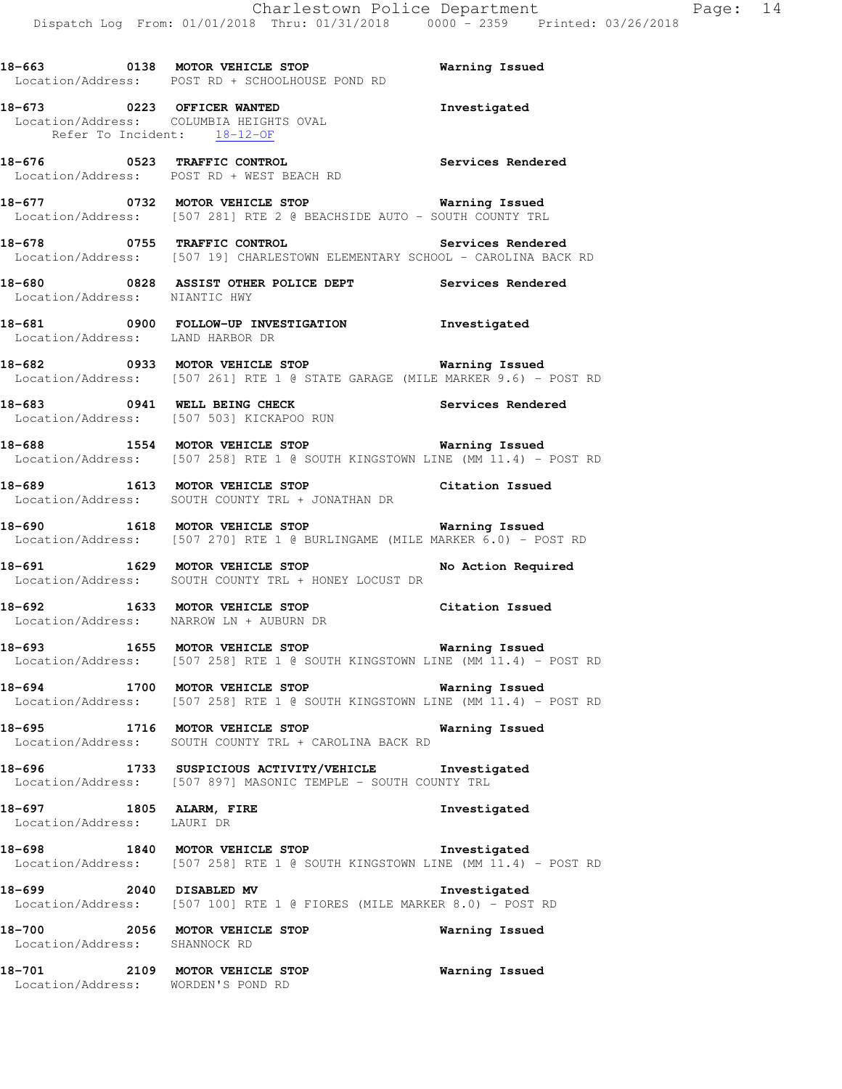**18-663 0138 MOTOR VEHICLE STOP Warning Issued**  Location/Address: POST RD + SCHOOLHOUSE POND RD **18-673 0223 OFFICER WANTED Investigated**  Location/Address: COLUMBIA HEIGHTS OVAL<br>Refer To Incident: 18-12-OF Refer To Incident: **18-676 0523 TRAFFIC CONTROL Services Rendered**  Location/Address: POST RD + WEST BEACH RD **18-677 0732 MOTOR VEHICLE STOP Warning Issued**  Location/Address: [507 281] RTE 2 @ BEACHSIDE AUTO - SOUTH COUNTY TRL **18-678 0755 TRAFFIC CONTROL Services Rendered**  Location/Address: [507 19] CHARLESTOWN ELEMENTARY SCHOOL - CAROLINA BACK RD **18-680 0828 ASSIST OTHER POLICE DEPT Services Rendered**  Location/Address: NIANTIC HWY **18-681 0900 FOLLOW-UP INVESTIGATION Investigated**  Location/Address: LAND HARBOR DR **18-682 0933 MOTOR VEHICLE STOP Warning Issued**  Location/Address: [507 261] RTE 1 @ STATE GARAGE (MILE MARKER 9.6) - POST RD **18-683 0941 WELL BEING CHECK Services Rendered**  Location/Address: [507 503] KICKAPOO RUN **18-688 1554 MOTOR VEHICLE STOP Warning Issued**  Location/Address: [507 258] RTE 1 @ SOUTH KINGSTOWN LINE (MM 11.4) - POST RD **18-689 1613 MOTOR VEHICLE STOP Citation Issued**  Location/Address: SOUTH COUNTY TRL + JONATHAN DR **18-690 1618 MOTOR VEHICLE STOP Warning Issued**  Location/Address: [507 270] RTE 1 @ BURLINGAME (MILE MARKER 6.0) - POST RD 18-691 **1629 MOTOR VEHICLE STOP** No Action Required Location/Address: SOUTH COUNTY TRL + HONEY LOCUST DR **18-692 1633 MOTOR VEHICLE STOP Citation Issued**  Location/Address: NARROW LN + AUBURN DR **18-693 1655 MOTOR VEHICLE STOP Warning Issued**  Location/Address: [507 258] RTE 1 @ SOUTH KINGSTOWN LINE (MM 11.4) - POST RD **18-694 1700 MOTOR VEHICLE STOP Warning Issued**  Location/Address: [507 258] RTE 1 @ SOUTH KINGSTOWN LINE (MM 11.4) - POST RD **18-695 1716 MOTOR VEHICLE STOP Warning Issued**  Location/Address: SOUTH COUNTY TRL + CAROLINA BACK RD **18-696 1733 SUSPICIOUS ACTIVITY/VEHICLE Investigated**  Location/Address: [507 897] MASONIC TEMPLE - SOUTH COUNTY TRL **18-697 1805 ALARM, FIRE Investigated**  Location/Address: LAURI DR **18-698 1840 MOTOR VEHICLE STOP Investigated**  Location/Address: [507 258] RTE 1 @ SOUTH KINGSTOWN LINE (MM 11.4) - POST RD **18-699 2040 DISABLED MV Investigated**  Location/Address: [507 100] RTE 1 @ FIORES (MILE MARKER 8.0) - POST RD

**18-700 2056 MOTOR VEHICLE STOP Warning Issued**  Location/Address: SHANNOCK RD

**18-701 2109 MOTOR VEHICLE STOP Warning Issued**  Location/Address: WORDEN'S POND RD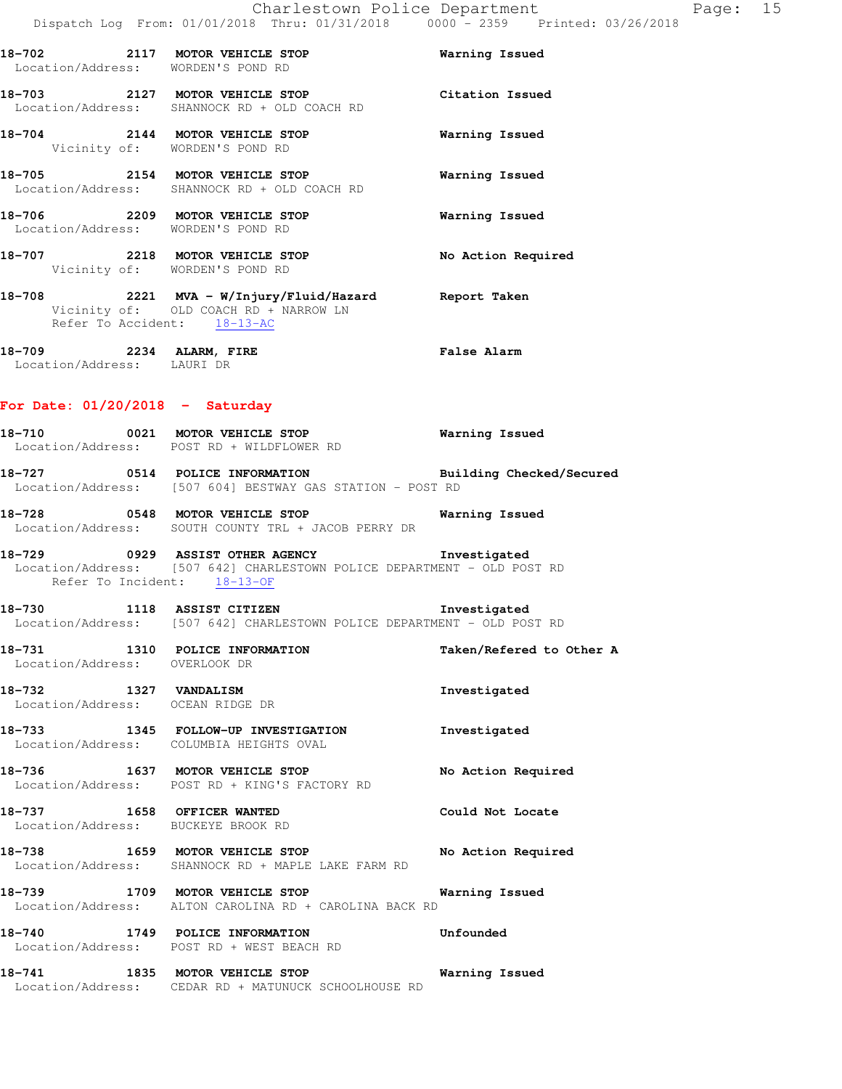| Location/Address: WORDEN'S POND RD                    | 18-702 2117 MOTOR VEHICLE STOP                                                 | Warning Issued     |
|-------------------------------------------------------|--------------------------------------------------------------------------------|--------------------|
|                                                       | 18-703 2127 MOTOR VEHICLE STOP<br>Location/Address: SHANNOCK RD + OLD COACH RD | Citation Issued    |
|                                                       | 18-704 2144 MOTOR VEHICLE STOP<br>Vicinity of: WORDEN'S POND RD                | Warning Issued     |
|                                                       | 18-705 2154 MOTOR VEHICLE STOP<br>Location/Address: SHANNOCK RD + OLD COACH RD | Warning Issued     |
| Location/Address: WORDEN'S POND RD                    | 18-706 2209 MOTOR VEHICLE STOP                                                 | Warning Issued     |
|                                                       | 18-707 2218 MOTOR VEHICLE STOP<br>Vicinity of: WORDEN'S POND RD                | No Action Required |
|                                                       | Vicinity of: OLD COACH RD + NARROW LN<br>Refer To Accident: 18-13-AC           |                    |
| 18-709 2234 ALARM, FIRE<br>Location/Address: LAURI DR |                                                                                | <b>False Alarm</b> |

### **For Date: 01/20/2018 - Saturday**

**18-710 0021 MOTOR VEHICLE STOP Warning Issued**  Location/Address: POST RD + WILDFLOWER RD **18-727 0514 POLICE INFORMATION Building Checked/Secured** 

 Location/Address: [507 604] BESTWAY GAS STATION - POST RD **18-728 0548 MOTOR VEHICLE STOP Warning Issued** 

 Location/Address: SOUTH COUNTY TRL + JACOB PERRY DR **18-729 0929 ASSIST OTHER AGENCY Investigated** 

# Location/Address: [507 642] CHARLESTOWN POLICE DEPARTMENT - OLD POST RD Refer To Incident: 18-13-OF

**18-730 1118 ASSIST CITIZEN Investigated**  Location/Address: [507 642] CHARLESTOWN POLICE DEPARTMENT - OLD POST RD

**18-731 1310 POLICE INFORMATION Taken/Refered to Other A**  Location/Address: OVERLOOK DR

**18-732 1327 VANDALISM Investigated**  Location/Address: OCEAN RIDGE DR

**18-733 1345 FOLLOW-UP INVESTIGATION Investigated**  Location/Address: COLUMBIA HEIGHTS OVAL

18-736 **1637 MOTOR VEHICLE STOP** No Action Required Location/Address: POST RD + KING'S FACTORY RD

**18-737 1658 OFFICER WANTED Could Not Locate**  Location/Address: BUCKEYE BROOK RD

**18-738 1659 MOTOR VEHICLE STOP No Action Required**  Location/Address: SHANNOCK RD + MAPLE LAKE FARM RD

**18-739 1709 MOTOR VEHICLE STOP Warning Issued**  Location/Address: ALTON CAROLINA RD + CAROLINA BACK RD

**18-740 1749 POLICE INFORMATION Unfounded**  Location/Address: POST RD + WEST BEACH RD

**18-741 1835 MOTOR VEHICLE STOP Warning Issued**  Location/Address: CEDAR RD + MATUNUCK SCHOOLHOUSE RD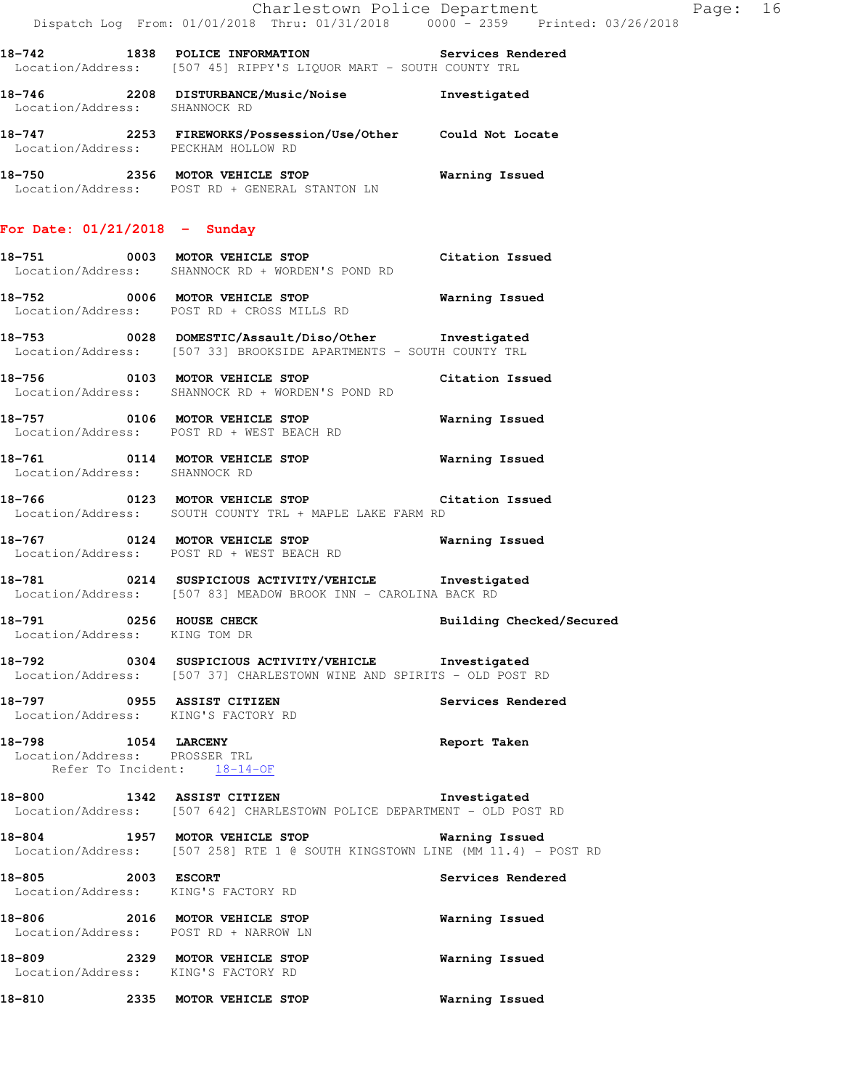|                                                |  |  | Charlestown Police Department |  |                                 | Page: 16 |  |
|------------------------------------------------|--|--|-------------------------------|--|---------------------------------|----------|--|
| Dispatch Log From: 01/01/2018 Thru: 01/31/2018 |  |  |                               |  | 0000 - 2359 Printed: 03/26/2018 |          |  |

**18-742 1838 POLICE INFORMATION Services Rendered**  Location/Address: [507 45] RIPPY'S LIQUOR MART - SOUTH COUNTY TRL

- **18-746 2208 DISTURBANCE/Music/Noise Investigated**  Location/Address: SHANNOCK RD **18-747 2253 FIREWORKS/Possession/Use/Other Could Not Locate**  Location/Address: PECKHAM HOLLOW RD
- **18-750 2356 MOTOR VEHICLE STOP Warning Issued**  Location/Address: POST RD + GENERAL STANTON LN

### **For Date: 01/21/2018 - Sunday**

- **18-751 0003 MOTOR VEHICLE STOP Citation Issued**  Location/Address: SHANNOCK RD + WORDEN'S POND RD
- **18-752 0006 MOTOR VEHICLE STOP Warning Issued**  Location/Address: POST RD + CROSS MILLS RD
- **18-753 0028 DOMESTIC/Assault/Diso/Other Investigated**  Location/Address: [507 33] BROOKSIDE APARTMENTS - SOUTH COUNTY TRL
- **18-756 0103 MOTOR VEHICLE STOP Citation Issued**  Location/Address: SHANNOCK RD + WORDEN'S POND RD
- **18-757 0106 MOTOR VEHICLE STOP Warning Issued**  Location/Address: POST RD + WEST BEACH RD
- **18-761 0114 MOTOR VEHICLE STOP Warning Issued**  Location/Address: SHANNOCK RD
- **18-766 0123 MOTOR VEHICLE STOP Citation Issued**  Location/Address: SOUTH COUNTY TRL + MAPLE LAKE FARM RD
- **18-767 0124 MOTOR VEHICLE STOP Warning Issued**  Location/Address: POST RD + WEST BEACH RD
- **18-781 0214 SUSPICIOUS ACTIVITY/VEHICLE Investigated**  Location/Address: [507 83] MEADOW BROOK INN - CAROLINA BACK RD
- **18-791 0256 HOUSE CHECK Building Checked/Secured**  Location/Address: KING TOM DR
- **18-792 0304 SUSPICIOUS ACTIVITY/VEHICLE Investigated**  Location/Address: [507 37] CHARLESTOWN WINE AND SPIRITS - OLD POST RD
- **18-797 0955 ASSIST CITIZEN Services Rendered**  Location/Address: KING'S FACTORY RD
- **18-798 1054 LARCENY Report Taken**  Location/Address: PROSSER TRL Refer To Incident: 18-14-OF
- **18-800 1342 ASSIST CITIZEN Investigated**  Location/Address: [507 642] CHARLESTOWN POLICE DEPARTMENT - OLD POST RD
- **18-804 1957 MOTOR VEHICLE STOP Warning Issued**  Location/Address: [507 258] RTE 1 @ SOUTH KINGSTOWN LINE (MM 11.4) - POST RD
- **18-805 2003 ESCORT Services Rendered**  Location/Address: KING'S FACTORY RD **18-806 2016 MOTOR VEHICLE STOP Warning Issued**  Location/Address: POST RD + NARROW LN **18-809 2329 MOTOR VEHICLE STOP Warning Issued**  Location/Address: KING'S FACTORY RD
- **18-810 2335 MOTOR VEHICLE STOP Warning Issued**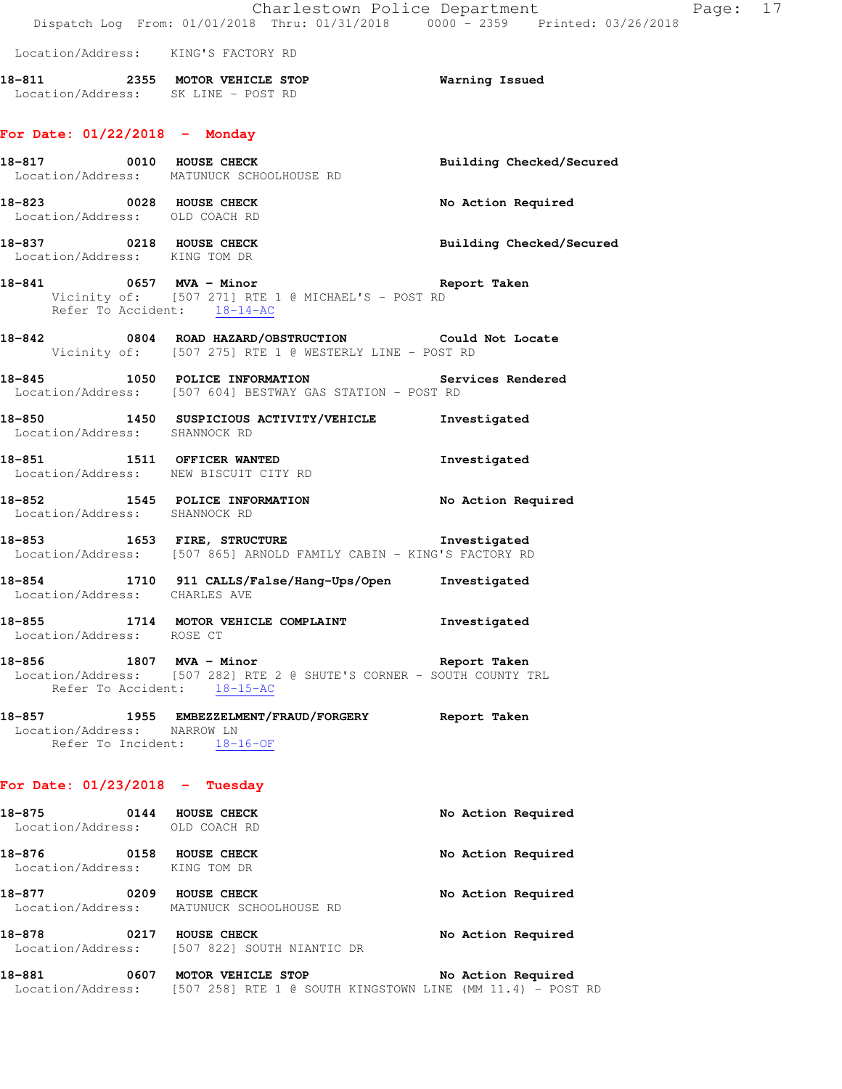|                                                                     | Charlestown Police Department<br>Dispatch Log From: 01/01/2018 Thru: 01/31/2018   0000 - 2359   Printed: 03/26/2018                    |                          |
|---------------------------------------------------------------------|----------------------------------------------------------------------------------------------------------------------------------------|--------------------------|
| Location/Address: KING'S FACTORY RD                                 |                                                                                                                                        |                          |
| Location/Address: SK LINE - POST RD                                 | 18-811 2355 MOTOR VEHICLE STOP                                                                                                         | <b>Warning Issued</b>    |
| For Date: $01/22/2018$ - Monday                                     |                                                                                                                                        |                          |
| 18-817 0010 HOUSE CHECK                                             | Location/Address: MATUNUCK SCHOOLHOUSE RD                                                                                              | Building Checked/Secured |
| 18-823 0028 HOUSE CHECK<br>Location/Address: OLD COACH RD           |                                                                                                                                        | No Action Required       |
| 18-837 0218 HOUSE CHECK<br>Location/Address: KING TOM DR            |                                                                                                                                        | Building Checked/Secured |
|                                                                     | 18-841 0657 MVA - Minor Controller Report Taken<br>Vicinity of: [507 271] RTE 1 @ MICHAEL'S - POST RD<br>Refer To Accident: $18-14-AC$ |                          |
|                                                                     | 18-842 0804 ROAD HAZARD/OBSTRUCTION Could Not Locate<br>Vicinity of: [507 275] RTE 1 @ WESTERLY LINE - POST RD                         |                          |
|                                                                     | 18-845 1050 POLICE INFORMATION Services Rendered<br>Location/Address: [507 604] BESTWAY GAS STATION - POST RD                          |                          |
| Location/Address: SHANNOCK RD                                       | 18-850 1450 SUSPICIOUS ACTIVITY/VEHICLE Investigated                                                                                   |                          |
| 18-851 1511 OFFICER WANTED<br>Location/Address: NEW BISCUIT CITY RD |                                                                                                                                        | Investigated             |
| Location/Address: SHANNOCK RD                                       | 18-852 1545 POLICE INFORMATION                                                                                                         | No Action Required       |
|                                                                     | 18-853 1653 FIRE, STRUCTURE 18-853 Investigated<br>Location/Address: [507 865] ARNOLD FAMILY CABIN - KING'S FACTORY RD                 |                          |
| Location/Address: CHARLES AVE                                       | 18-854 1710 911 CALLS/False/Hang-Ups/Open Investigated                                                                                 |                          |
| Location/Address: ROSE CT                                           | 18-855 1714 MOTOR VEHICLE COMPLAINT                                                                                                    | Investigated             |
| 18-856 1807 MVA - Minor<br>Refer To Accident: 18-15-AC              | Location/Address: [507 282] RTE 2 @ SHUTE'S CORNER - SOUTH COUNTY TRL                                                                  | Report Taken             |
| Location/Address: NARROW LN<br>Refer To Incident: $18-16-OF$        |                                                                                                                                        |                          |
| For Date: $01/23/2018$ - Tuesday                                    |                                                                                                                                        |                          |
| 18-875<br>Location/Address: OLD COACH RD                            | 0144 HOUSE CHECK                                                                                                                       | No Action Required       |
| 18-876 0158 HOUSE CHECK<br>Location/Address: KING TOM DR            |                                                                                                                                        | No Action Required       |
| 18-877 0209 HOUSE CHECK                                             | Location/Address: MATUNUCK SCHOOLHOUSE RD                                                                                              | No Action Required       |
| 18-878 0217 HOUSE CHECK                                             | Location/Address: [507 822] SOUTH NIANTIC DR                                                                                           | No Action Required       |
|                                                                     |                                                                                                                                        |                          |

**18-881 0607 MOTOR VEHICLE STOP No Action Required**  Location/Address: [507 258] RTE 1 @ SOUTH KINGSTOWN LINE (MM 11.4) - POST RD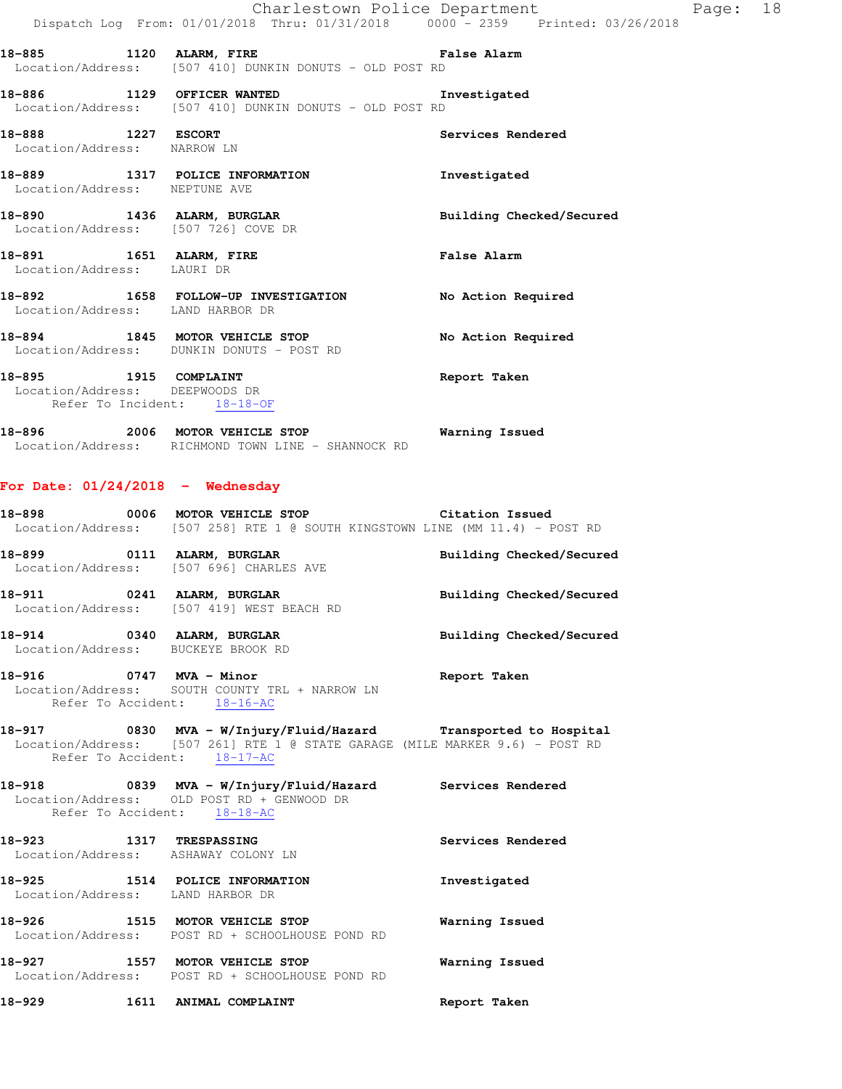|                                                         |                                                                                                           | Charlestown Police Department<br>Dispatch Log From: 01/01/2018 Thru: 01/31/2018 0000 - 2359 Printed: 03/26/2018 |
|---------------------------------------------------------|-----------------------------------------------------------------------------------------------------------|-----------------------------------------------------------------------------------------------------------------|
|                                                         | 18-885 1120 ALARM, FIRE New York Ralse Alarm<br>Location/Address: [507 410] DUNKIN DONUTS - OLD POST RD   |                                                                                                                 |
|                                                         | 18-886 1129 OFFICER WANTED 18-886 Investigated<br>Location/Address: [507 410] DUNKIN DONUTS - OLD POST RD |                                                                                                                 |
| Location/Address: NARROW LN                             |                                                                                                           | Services Rendered                                                                                               |
| Location/Address: NEPTUNE AVE                           | 18-889 1317 POLICE INFORMATION                                                                            | Investigated                                                                                                    |
|                                                         | 18-890 1436 ALARM, BURGLAR<br>Location/Address: [507 726] COVE DR                                         | Building Checked/Secured                                                                                        |
| Location/Address: LAURI DR                              | 18-891 1651 ALARM, FIRE                                                                                   | <b>False Alarm</b>                                                                                              |
| Location/Address: LAND HARBOR DR                        | 18-892 1658 FOLLOW-UP INVESTIGATION                                                                       | No Action Required                                                                                              |
|                                                         | 18-894 1845 MOTOR VEHICLE STOP<br>Location/Address: DUNKIN DONUTS - POST RD                               | No Action Required                                                                                              |
| 18-895 1915 COMPLAINT<br>Location/Address: DEEPWOODS DR | Refer To Incident: 18-18-OF                                                                               | Report Taken                                                                                                    |

Page: 18

**18-896 2006 MOTOR VEHICLE STOP Warning Issued**  Location/Address: RICHMOND TOWN LINE - SHANNOCK RD

### **For Date: 01/24/2018 - Wednesday**

| 18-918                                                                  |                             |                                                                                                                                                    |              |                          |
|-------------------------------------------------------------------------|-----------------------------|----------------------------------------------------------------------------------------------------------------------------------------------------|--------------|--------------------------|
|                                                                         | Refer To Accident: 18-17-AC | 18-917 		 0830 MVA - W/Injury/Fluid/Hazard Transported to Hospital<br>Location/Address: [507 261] RTE 1 @ STATE GARAGE (MILE MARKER 9.6) - POST RD |              |                          |
| 18-916 0747 MVA - Minor                                                 | Refer To Accident: 18-16-AC | Location/Address: SOUTH COUNTY TRL + NARROW LN                                                                                                     | Report Taken |                          |
| 18-914 0340 ALARM, BURGLAR<br>Location/Address: BUCKEYE BROOK RD        |                             |                                                                                                                                                    |              | Building Checked/Secured |
| 18-911 0241 ALARM, BURGLAR<br>Location/Address: [507 419] WEST BEACH RD |                             |                                                                                                                                                    |              | Building Checked/Secured |
| 18-899 0111 ALARM, BURGLAR<br>Location/Address: [507 696] CHARLES AVE   |                             |                                                                                                                                                    |              | Building Checked/Secured |
|                                                                         |                             | 18-898 		 0006 MOTOR VEHICLE STOP 		 Citation Issued<br>  Location/Address: [507 258] RTE 1 @ SOUTH KINGSTOWN LINE (MM 11.4) - POST RD             |              |                          |

 Location/Address: OLD POST RD + GENWOOD DR Refer To Accident: 18-18-AC

**18-923 1317 TRESPASSING Services Rendered**  Location/Address: ASHAWAY COLONY LN **18-925 1514 POLICE INFORMATION Investigated**  Location/Address: LAND HARBOR DR **18-926 1515 MOTOR VEHICLE STOP Warning Issued**  Location/Address: POST RD + SCHOOLHOUSE POND RD **18-927 1557 MOTOR VEHICLE STOP Warning Issued**  Location/Address: POST RD + SCHOOLHOUSE POND RD

**18-929 1611 ANIMAL COMPLAINT Report Taken**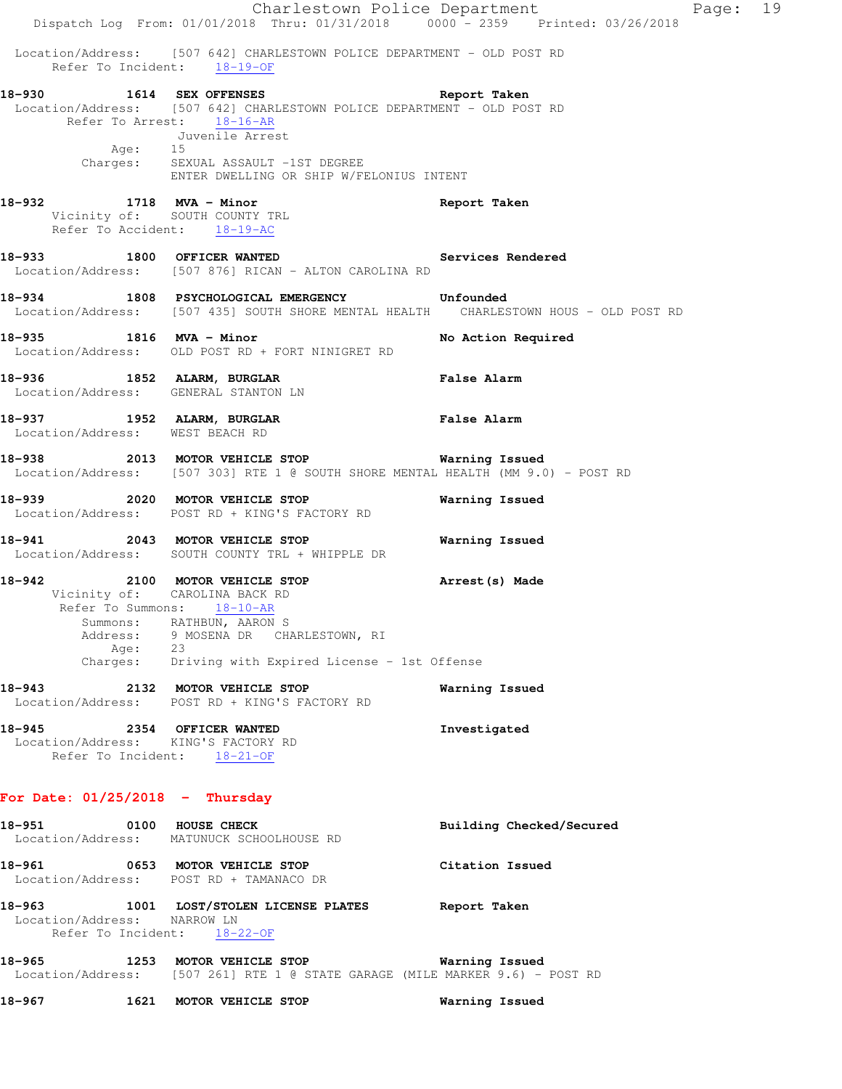|                                                                                 |      |                                                                                                |                                                                                             | Charlestown Police Department<br>Dispatch Log From: 01/01/2018 Thru: 01/31/2018 0000 - 2359 Printed: 03/26/2018                     | Page: 19 |  |
|---------------------------------------------------------------------------------|------|------------------------------------------------------------------------------------------------|---------------------------------------------------------------------------------------------|-------------------------------------------------------------------------------------------------------------------------------------|----------|--|
|                                                                                 |      | Refer To Incident: 18-19-OF                                                                    |                                                                                             | Location/Address: [507 642] CHARLESTOWN POLICE DEPARTMENT - OLD POST RD                                                             |          |  |
| 18-930 1614 SEX OFFENSES                                                        |      | Refer To Arrest: 18-16-AR<br>Juvenile Arrest<br>Age: 15<br>Charges: SEXUAL ASSAULT -1ST DEGREE | ENTER DWELLING OR SHIP W/FELONIUS INTENT                                                    | Report Taken<br>Location/Address: [507 642] CHARLESTOWN POLICE DEPARTMENT - OLD POST RD                                             |          |  |
| 18-932 1718 MVA - Minor                                                         |      | Vicinity of: SOUTH COUNTY TRL<br>Refer To Accident: 18-19-AC                                   |                                                                                             | Report Taken                                                                                                                        |          |  |
| 18-933 1800 OFFICER WANTED                                                      |      |                                                                                                | Location/Address: [507 876] RICAN - ALTON CAROLINA RD                                       | Services Rendered                                                                                                                   |          |  |
|                                                                                 |      |                                                                                                | 18-934 1808 PSYCHOLOGICAL EMERGENCY Unfounded                                               | Location/Address: [507 435] SOUTH SHORE MENTAL HEALTH CHARLESTOWN HOUS - OLD POST RD                                                |          |  |
| 18-935 1816 MVA - Minor                                                         |      |                                                                                                | Location/Address: OLD POST RD + FORT NINIGRET RD                                            | No Action Required                                                                                                                  |          |  |
| 18-936 1852 ALARM, BURGLAR<br>Location/Address: GENERAL STANTON LN              |      |                                                                                                |                                                                                             | <b>False Alarm</b>                                                                                                                  |          |  |
| 18-937 1952 ALARM, BURGLAR<br>Location/Address: WEST BEACH RD                   |      |                                                                                                |                                                                                             | <b>False Alarm</b>                                                                                                                  |          |  |
|                                                                                 |      |                                                                                                |                                                                                             | 18-938 2013 MOTOR VEHICLE STOP 6 Warning Issued<br>Location/Address: [507 303] RTE 1 @ SOUTH SHORE MENTAL HEALTH (MM 9.0) - POST RD |          |  |
| 18-939 2020 MOTOR VEHICLE STOP<br>Location/Address: POST RD + KING'S FACTORY RD |      |                                                                                                |                                                                                             | Warning Issued                                                                                                                      |          |  |
| 18-941                                                                          |      | 2043 MOTOR VEHICLE STOP                                                                        | Location/Address: SOUTH COUNTY TRL + WHIPPLE DR                                             | Warning Issued                                                                                                                      |          |  |
| 18-942 2100 MOTOR VEHICLE STOP                                                  | Age: | Vicinity of: CAROLINA BACK RD<br>Refer To Summons: 18-10-AR<br>Summons: RATHBUN, AARON S<br>23 | Address: 9 MOSENA DR CHARLESTOWN, RI<br>Charges: Driving with Expired License - 1st Offense | Arrest (s) Made                                                                                                                     |          |  |
| 18-943 2132 MOTOR VEHICLE STOP                                                  |      | Location/Address: POST RD + KING'S FACTORY RD                                                  |                                                                                             | Warning Issued                                                                                                                      |          |  |
| 18-945 2354 OFFICER WANTED<br>Location/Address: KING'S FACTORY RD               |      | Refer To Incident: 18-21-OF                                                                    |                                                                                             | Investigated                                                                                                                        |          |  |
| For Date: $01/25/2018$ - Thursday                                               |      |                                                                                                |                                                                                             |                                                                                                                                     |          |  |
| 18-951 0100 HOUSE CHECK<br>Location/Address: MATUNUCK SCHOOLHOUSE RD            |      |                                                                                                |                                                                                             | Building Checked/Secured                                                                                                            |          |  |
| 18-961 0653 MOTOR VEHICLE STOP                                                  |      | Location/Address: POST RD + TAMANACO DR                                                        |                                                                                             | Citation Issued                                                                                                                     |          |  |
| Location/Address: NARROW LN                                                     |      | Refer To Incident: 18-22-OF                                                                    |                                                                                             | 18-963 1001 LOST/STOLEN LICENSE PLATES Report Taken                                                                                 |          |  |
|                                                                                 |      |                                                                                                |                                                                                             | Location/Address: [507 261] RTE 1 @ STATE GARAGE (MILE MARKER 9.6) - POST RD                                                        |          |  |
| 18-967 мартика 18-9                                                             |      | 1621 MOTOR VEHICLE STOP                                                                        |                                                                                             | Warning Issued                                                                                                                      |          |  |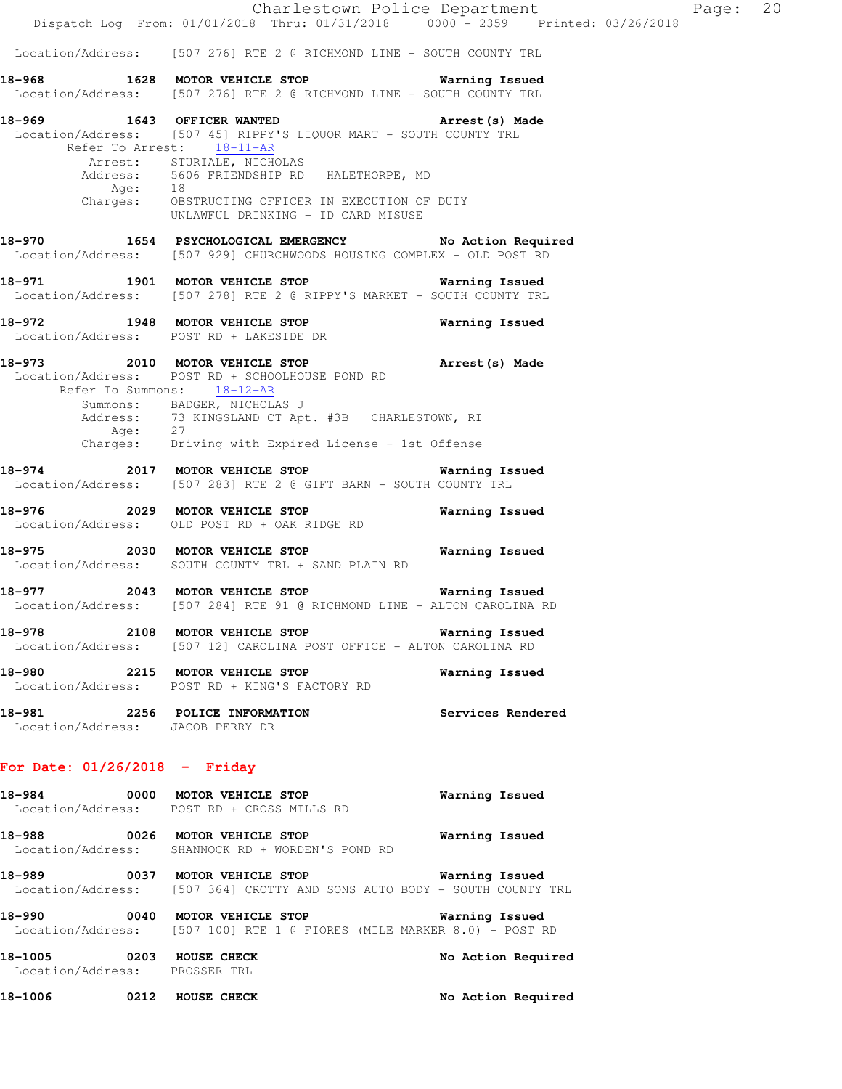|                                                                    |                                                                                                                                                     | Charlestown Police Department | Page: 20 |  |
|--------------------------------------------------------------------|-----------------------------------------------------------------------------------------------------------------------------------------------------|-------------------------------|----------|--|
|                                                                    | Dispatch Log From: 01/01/2018 Thru: 01/31/2018 0000 - 2359 Printed: 03/26/2018                                                                      |                               |          |  |
|                                                                    | Location/Address: [507 276] RTE 2 @ RICHMOND LINE - SOUTH COUNTY TRL                                                                                |                               |          |  |
|                                                                    | 18-968 1628 MOTOR VEHICLE STOP 5 Warning Issued<br>Location/Address: [507 276] RTE 2 @ RICHMOND LINE - SOUTH COUNTY TRL                             |                               |          |  |
|                                                                    | 18-969 1643 OFFICER WANTED 18-969 Arrest (s) Made<br>Location/Address: [507 45] RIPPY'S LIQUOR MART - SOUTH COUNTY TRL<br>Refer To Arrest: 18-11-AR |                               |          |  |
|                                                                    | Arrest: STURIALE, NICHOLAS<br>Address: 5606 FRIENDSHIP RD HALETHORPE, MD<br>Age: 18                                                                 |                               |          |  |
|                                                                    | Charges: OBSTRUCTING OFFICER IN EXECUTION OF DUTY<br>UNLAWFUL DRINKING - ID CARD MISUSE                                                             |                               |          |  |
|                                                                    | 18-970 1654 PSYCHOLOGICAL EMERGENCY No Action Required<br>Location/Address: [507 929] CHURCHWOODS HOUSING COMPLEX - OLD POST RD                     |                               |          |  |
|                                                                    | 18-971 1901 MOTOR VEHICLE STOP 6 Warning Issued<br>Location/Address: [507 278] RTE 2 @ RIPPY'S MARKET - SOUTH COUNTY TRL                            |                               |          |  |
|                                                                    | 18-972 1948 MOTOR VEHICLE STOP<br>Location/Address: POST RD + LAKESIDE DR                                                                           | Warning Issued                |          |  |
|                                                                    | 18-973 2010 MOTOR VEHICLE STOP <b>Arrest</b> (s) Made<br>Location/Address: POST RD + SCHOOLHOUSE POND RD<br>Refer To Summons: 18-12-AR              |                               |          |  |
|                                                                    | Summons: BADGER, NICHOLAS J<br>Address: 73 KINGSLAND CT Apt. #3B CHARLESTOWN, RI<br>Age: 27<br>Charges: Driving with Expired License - 1st Offense  |                               |          |  |
|                                                                    |                                                                                                                                                     |                               |          |  |
|                                                                    | 18-974 2017 MOTOR VEHICLE STOP<br>Location/Address: [507 283] RTE 2 @ GIFT BARN - SOUTH COUNTY TRL                                                  | Warning Issued                |          |  |
|                                                                    | 18-976 2029 MOTOR VEHICLE STOP<br>Location/Address: OLD POST RD + OAK RIDGE RD                                                                      | Warning Issued                |          |  |
|                                                                    | 18-975 2030 MOTOR VEHICLE STOP <b>Warning Issued</b><br>Location/Address: SOUTH COUNTY TRL + SAND PLAIN RD                                          |                               |          |  |
|                                                                    | 18-977 2043 MOTOR VEHICLE STOP 6 Warning Issued<br>Location/Address: [507 284] RTE 91 @ RICHMOND LINE - ALTON CAROLINA RD                           |                               |          |  |
| 18-978                                                             | 2108 MOTOR VEHICLE STOP 5 6 Warning Issued<br>Location/Address: [507 12] CAROLINA POST OFFICE - ALTON CAROLINA RD                                   |                               |          |  |
|                                                                    | 18-980 2215 MOTOR VEHICLE STOP<br>Location/Address: POST RD + KING'S FACTORY RD                                                                     | Warning Issued                |          |  |
| 18-981 2256 POLICE INFORMATION<br>Location/Address: JACOB PERRY DR |                                                                                                                                                     | Services Rendered             |          |  |
| For Date: $01/26/2018$ - Friday                                    |                                                                                                                                                     |                               |          |  |
| 18-984                                                             | 0000 MOTOR VEHICLE STOP<br>Location/Address: POST RD + CROSS MILLS RD                                                                               | Warning Issued                |          |  |
| 18-988                                                             | 0026 MOTOR VEHICLE STOP<br>Location/Address: SHANNOCK RD + WORDEN'S POND RD                                                                         | Warning Issued                |          |  |

- **18-989 0037 MOTOR VEHICLE STOP Warning Issued**  Location/Address: [507 364] CROTTY AND SONS AUTO BODY - SOUTH COUNTY TRL
- **18-990 0040 MOTOR VEHICLE STOP Warning Issued**  Location/Address: [507 100] RTE 1 @ FIORES (MILE MARKER 8.0) - POST RD

18-1005 **0203 HOUSE CHECK 19** No Action Required Location/Address: PROSSER TRL 18-1006 **0212 HOUSE CHECK 18-1006** No Action Required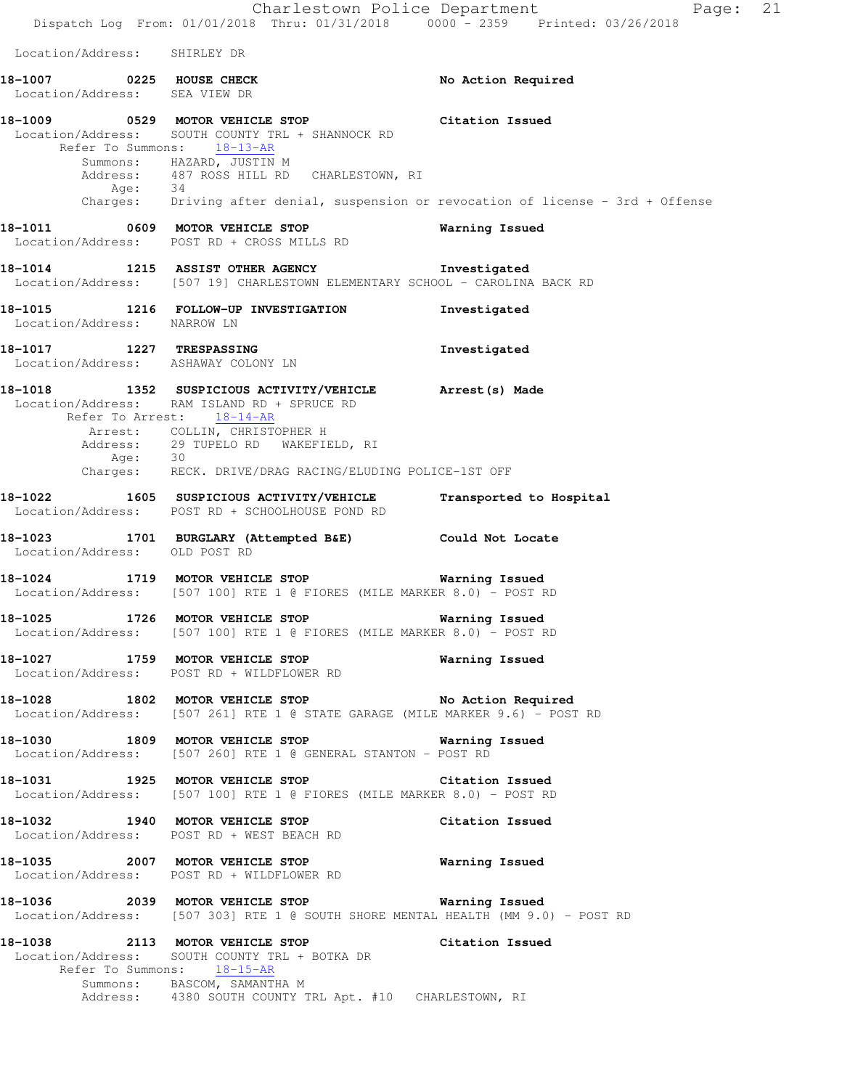Dispatch Log From: 01/01/2018 Thru: 01/31/2018 0000 - 2359 Printed: 03/26/2018 Location/Address: SHIRLEY DR 18-1007 **0225 HOUSE CHECK 18-1007** No Action Required Location/Address: SEA VIEW DR **18-1009 0529 MOTOR VEHICLE STOP Citation Issued**  Location/Address: SOUTH COUNTY TRL + SHANNOCK RD Refer To Summons: 18-13-AR Summons: HAZARD, JUSTIN M Address: 487 ROSS HILL RD CHARLESTOWN, RI Age: 34 Charges: Driving after denial, suspension or revocation of license - 3rd + Offense **18-1011 0609 MOTOR VEHICLE STOP Warning Issued**  Location/Address: POST RD + CROSS MILLS RD **18-1014 1215 ASSIST OTHER AGENCY Investigated**  Location/Address: [507 19] CHARLESTOWN ELEMENTARY SCHOOL - CAROLINA BACK RD **18-1015 1216 FOLLOW-UP INVESTIGATION Investigated**  Location/Address: NARROW LN **18-1017 1227 TRESPASSING Investigated**  Location/Address: ASHAWAY COLONY LN **18-1018 1352 SUSPICIOUS ACTIVITY/VEHICLE Arrest(s) Made**  Location/Address: RAM ISLAND RD + SPRUCE RD Refer To Arrest: 18-14-AR Arrest: COLLIN, CHRISTOPHER H Address: 29 TUPELO RD WAKEFIELD, RI Age: 30 Charges: RECK. DRIVE/DRAG RACING/ELUDING POLICE-1ST OFF **18-1022 1605 SUSPICIOUS ACTIVITY/VEHICLE Transported to Hospital**  Location/Address: POST RD + SCHOOLHOUSE POND RD **18-1023 1701 BURGLARY (Attempted B&E) Could Not Locate**  Location/Address: OLD POST RD **18-1024 1719 MOTOR VEHICLE STOP Warning Issued**  Location/Address: [507 100] RTE 1 @ FIORES (MILE MARKER 8.0) - POST RD **18-1025 1726 MOTOR VEHICLE STOP Warning Issued**  Location/Address: [507 100] RTE 1 @ FIORES (MILE MARKER 8.0) - POST RD **18-1027 1759 MOTOR VEHICLE STOP Warning Issued**  Location/Address: POST RD + WILDFLOWER RD **18-1028 1802 MOTOR VEHICLE STOP No Action Required**  Location/Address: [507 261] RTE 1 @ STATE GARAGE (MILE MARKER 9.6) - POST RD **18-1030 1809 MOTOR VEHICLE STOP Warning Issued**  Location/Address: [507 260] RTE 1 @ GENERAL STANTON - POST RD **18-1031 1925 MOTOR VEHICLE STOP Citation Issued**  Location/Address: [507 100] RTE 1 @ FIORES (MILE MARKER 8.0) - POST RD **18-1032 1940 MOTOR VEHICLE STOP Citation Issued**  Location/Address: POST RD + WEST BEACH RD **18-1035 2007 MOTOR VEHICLE STOP Warning Issued**  Location/Address: POST RD + WILDFLOWER RD **18-1036 2039 MOTOR VEHICLE STOP Warning Issued**  Location/Address: [507 303] RTE 1 @ SOUTH SHORE MENTAL HEALTH (MM 9.0) - POST RD **18-1038 2113 MOTOR VEHICLE STOP Citation Issued**  Location/Address: SOUTH COUNTY TRL + BOTKA DR Refer To Summons: 18-15-AR Summons: BASCOM, SAMANTHA M

Address: 4380 SOUTH COUNTY TRL Apt. #10 CHARLESTOWN, RI

Charlestown Police Department Fage: 21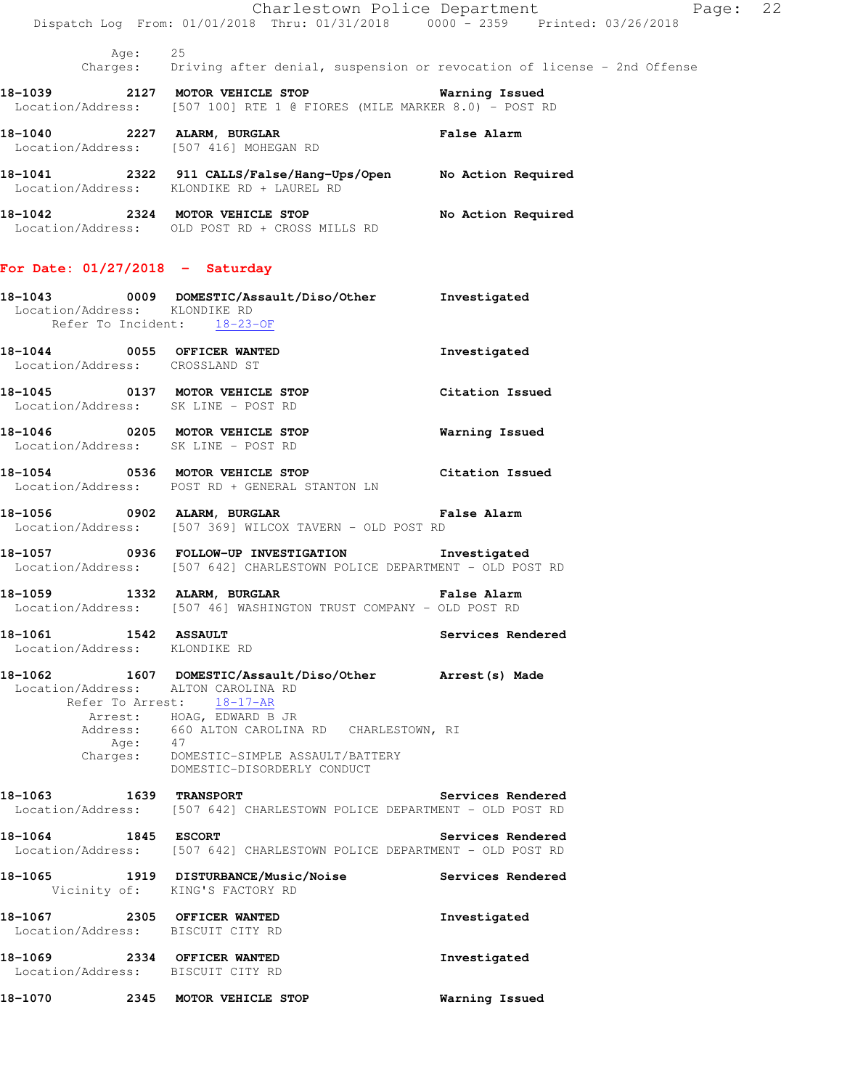|                                                                  | Dispatch Log From: 01/01/2018 Thru: 01/31/2018 0000 - 2359 Printed: 03/26/2018                                                                                    | Charlestown Police Department<br>Page: | 22 |
|------------------------------------------------------------------|-------------------------------------------------------------------------------------------------------------------------------------------------------------------|----------------------------------------|----|
| Age: 25                                                          | Charges: Driving after denial, suspension or revocation of license - 2nd Offense                                                                                  |                                        |    |
|                                                                  | 18-1039 2127 MOTOR VEHICLE STOP<br>Location/Address: [507 100] RTE 1 @ FIORES (MILE MARKER 8.0) - POST RD                                                         | Warning Issued                         |    |
|                                                                  | 18-1040 2227 ALARM, BURGLAR<br>Location/Address: [507 416] MOHEGAN RD                                                                                             | <b>False Alarm</b>                     |    |
|                                                                  | 18-1041  2322  911 CALLS/False/Hang-Ups/Open  No Action Required<br>Location/Address: KLONDIKE RD + LAUREL RD                                                     |                                        |    |
|                                                                  | 18-1042 2324 MOTOR VEHICLE STOP<br>Location/Address: OLD POST RD + CROSS MILLS RD                                                                                 | No Action Required                     |    |
| For Date: $01/27/2018$ - Saturday                                |                                                                                                                                                                   |                                        |    |
| Location/Address: KLONDIKE RD<br>Refer To Incident: 18-23-OF     | 18-1043  0009 DOMESTIC/Assault/Diso/Other Investigated                                                                                                            |                                        |    |
| 18-1044 0055 OFFICER WANTED<br>Location/Address: CROSSLAND ST    |                                                                                                                                                                   | Investigated                           |    |
| Location/Address: SK LINE - POST RD                              | 18-1045 0137 MOTOR VEHICLE STOP                                                                                                                                   | Citation Issued                        |    |
| Location/Address: SK LINE - POST RD                              | 18-1046 0205 MOTOR VEHICLE STOP                                                                                                                                   | Warning Issued                         |    |
|                                                                  | 18-1054 0536 MOTOR VEHICLE STOP Citation Issued<br>Location/Address: POST RD + GENERAL STANTON LN                                                                 |                                        |    |
|                                                                  | 18-1056 0902 ALARM, BURGLAR 1999 1999 Palse Alarm<br>Location/Address: [507 369] WILCOX TAVERN - OLD POST RD                                                      |                                        |    |
|                                                                  | 18-1057 0936 FOLLOW-UP INVESTIGATION Investigated<br>Location/Address: [507 642] CHARLESTOWN POLICE DEPARTMENT - OLD POST RD                                      |                                        |    |
|                                                                  | 18-1059 1332 ALARM, BURGLAR 18 Palse Alarm<br>Location/Address: [507 46] WASHINGTON TRUST COMPANY - OLD POST RD                                                   |                                        |    |
| 18-1061 1542 ASSAULT<br>Location/Address: KLONDIKE RD            |                                                                                                                                                                   | Services Rendered                      |    |
| Location/Address: ALTON CAROLINA RD                              | 18-1062 1607 DOMESTIC/Assault/Diso/Other Arrest(s) Made<br>Refer To Arrest: 18-17-AR                                                                              |                                        |    |
|                                                                  | Arrest: HOAG, EDWARD B JR<br>Address: 660 ALTON CAROLINA RD CHARLESTOWN, RI<br>Age: 47<br>Charges: DOMESTIC-SIMPLE ASSAULT/BATTERY<br>DOMESTIC-DISORDERLY CONDUCT |                                        |    |
| 18-1063 1639 TRANSPORT                                           | Location/Address: [507 642] CHARLESTOWN POLICE DEPARTMENT - OLD POST RD                                                                                           | Services Rendered                      |    |
| 18-1064 1845 ESCORT                                              | Location/Address: [507 642] CHARLESTOWN POLICE DEPARTMENT - OLD POST RD                                                                                           | Services Rendered                      |    |
| 18-1065                                                          | 1919 DISTURBANCE/Music/Noise<br>Vicinity of: KING'S FACTORY RD                                                                                                    | Services Rendered                      |    |
| 18-1067 2305 OFFICER WANTED<br>Location/Address: BISCUIT CITY RD |                                                                                                                                                                   | Investigated                           |    |
| 18-1069 2334 OFFICER WANTED<br>Location/Address: BISCUIT CITY RD |                                                                                                                                                                   | Investigated                           |    |
| 18-1070                                                          | 2345 MOTOR VEHICLE STOP                                                                                                                                           | Warning Issued                         |    |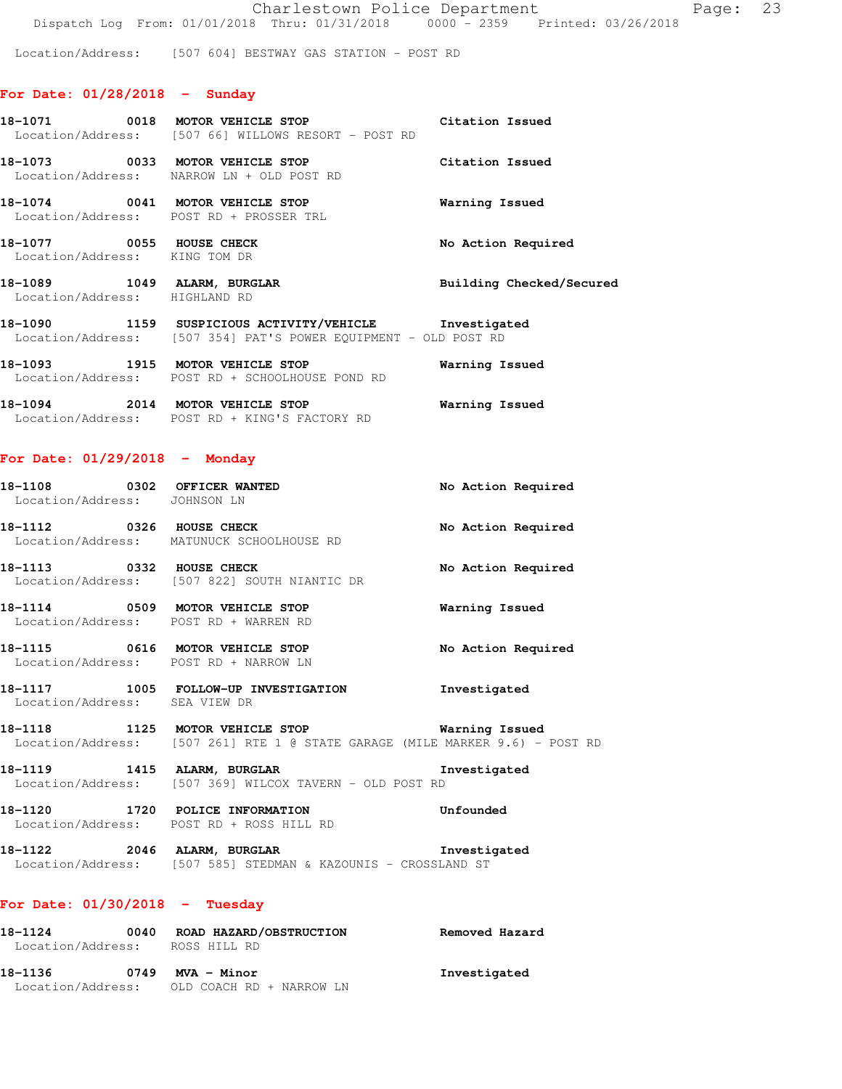Location/Address: [507 604] BESTWAY GAS STATION - POST RD

### **For Date: 01/28/2018 - Sunday**

|                                                              | 18-1071 0018 MOTOR VEHICLE STOP<br>Location/Address: [507 66] WILLOWS RESORT - POST RD                                   | Citation Issued          |
|--------------------------------------------------------------|--------------------------------------------------------------------------------------------------------------------------|--------------------------|
|                                                              | 18-1073 0033 MOTOR VEHICLE STOP<br>Location/Address: NARROW LN + OLD POST RD                                             | Citation Issued          |
| 18-1074 0041 MOTOR VEHICLE STOP                              | Location/Address: POST RD + PROSSER TRL                                                                                  | Warning Issued           |
| 18-1077 0055 HOUSE CHECK<br>Location/Address: KING TOM DR    |                                                                                                                          | No Action Required       |
| 18-1089 1049 ALARM, BURGLAR<br>Location/Address: HIGHLAND RD |                                                                                                                          | Building Checked/Secured |
|                                                              | 18-1090 1159 SUSPICIOUS ACTIVITY/VEHICLE Investigated<br>Location/Address: [507 354] PAT'S POWER EOUIPMENT - OLD POST RD |                          |
| 18-1093 1915 MOTOR VEHICLE STOP                              | Location/Address: POST RD + SCHOOLHOUSE POND RD                                                                          | Warning Issued           |
| 18-1094 2014 MOTOR VEHICLE STOP                              | Location/Address: POST RD + KING'S FACTORY RD                                                                            | Warning Issued           |

# **For Date: 01/29/2018 - Monday**

| 18-1108 0302 OFFICER WANTED<br>Location/Address: JOHNSON LN              |                                                                                                                 | No Action Required |
|--------------------------------------------------------------------------|-----------------------------------------------------------------------------------------------------------------|--------------------|
| <b>18-1112</b> 0326 HOUSE CHECK                                          | Location/Address: MATUNUCK SCHOOLHOUSE RD                                                                       | No Action Required |
| 18-1113 0332 HOUSE CHECK                                                 | Location/Address: [507 822] SOUTH NIANTIC DR                                                                    | No Action Required |
| 18-1114 0509 MOTOR VEHICLE STOP<br>Location/Address: POST RD + WARREN RD |                                                                                                                 | Warning Issued     |
| 18-1115 0616 MOTOR VEHICLE STOP<br>Location/Address: POST RD + NARROW LN |                                                                                                                 | No Action Required |
| Location/Address: SEA VIEW DR                                            | 18-1117 1005 FOLLOW-UP INVESTIGATION                                                                            | Investigated       |
|                                                                          | 18-1118 1125 MOTOR VEHICLE STOP<br>Location/Address: [507 261] RTE 1 @ STATE GARAGE (MILE MARKER 9.6) - POST RD | Warning Issued     |
|                                                                          | Location/Address: [507 369] WILCOX TAVERN - OLD POST RD                                                         | Investigated       |

**18-1120 1720 POLICE INFORMATION Unfounded**  Location/Address: POST RD + ROSS HILL RD

**18-1122 2046 ALARM, BURGLAR Investigated**  Location/Address: [507 585] STEDMAN & KAZOUNIS - CROSSLAND ST

# **For Date: 01/30/2018 - Tuesday**

| 18-1124           | 0040 | ROAD HAZARD/OBSTRUCTION  | Removed Hazard |
|-------------------|------|--------------------------|----------------|
| Location/Address: |      | ROSS HILL RD             |                |
| 18–1136           | 0749 | MVA - Minor              | Investigated   |
| Location/Address: |      | OLD COACH RD + NARROW LN |                |